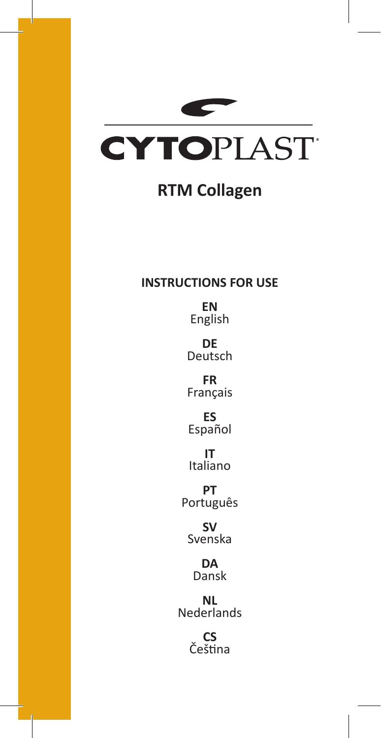

# **RTM Collagen**

# **INSTRUCTIONS FOR USE**

**EN** English

**DE** Deutsch

**FR** Français

**ES** Español

**IT** Italiano

**PT** Português

**SV** Svenska

> **DA** Dansk

**NL** Nederlands

> **CS** Čeština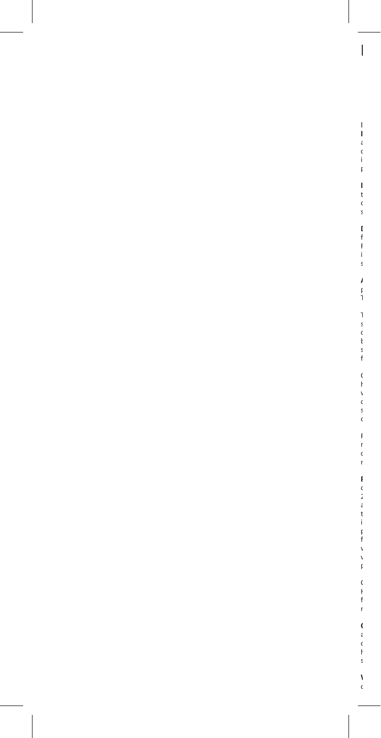INSTRUCTIONS FOR USE **Introduction:** The user of Cytoplast® products has the duty to determine whether or not  $\epsilon$  is suitable for the particular patient and circumstances.  $\mathfrak{c}$  any implies indirect, punitive or other damages, arising out of or in connection with any errors in professional judgment or practice in the use or installation of Cytoplast® products. **Intended Use:** Cytoplast® RTM Collagen is a bioresorbable, implantable collagen material that is in  $\mathfrak{c}$  defect or  $\mathfrak{c}$ Ites Iffis **Description:** Cytoplast® RTM Collagen is a white, nonfriable membrane matrix engineered from highly purified type I collagen fibers derived from bovine Achilles tendon. Cytoplast®  $\mathbf{F}$  collagen is resorbable which eliminates the need for a second surface  $\mathbf{F}$ is normally required to  $r$ supplied sterile, non-pyrogenic and for single use only. **Administration:** Cytoplast® RTM Collagen is packaged in a double sterile pouch. The outer pouch should be opened carefully, allowing the inner pouch to be placed onto a sterile field. The membrane should be removed from the inner pouch with sterile gloves or instruments. The periodontal defect or bone defect is exposed by a mucoperiosteal flap and basic surgical procedures are performed (e.g. curettage). The clinician should perform thorough  $\mathfrak{c}$  space-making material such as a bone matrix and ceramic materials may be used to fill the defect. As much tissue as possible should be preserved to allow for primary closure of the wound and correct positioning of the flaps without tension. Cytoplast® RTM Collagen can be placed either dry or hydrated. If the clinician prefers the handling characteristics of the hydrated collagen, the membrane can be hydrated in sterile  $W_{\rm eff}$  solution for a  $\mathfrak{c}$  may be the size and shape of the defect in the defect in the defect in the defect in the defect in the defect in the defect in the defect in the defect in the defect in the defect in the defect in the defect in sterile scissors. The membrane should overlap the walls of the defect by at least 2 mm to allow complete bone contact and to prevent gingival connective tissue invasion below the material.  $\mathbf{F}=\mathbf{F}$ mobilization. The membrane can be sutured in place using absorbable sutures and a noncutting needle. Resorbable tacks can also be used to affix the membrane. Primary closure must be achieved and maintained to avoid accelerated resorption due to membrane exposure. **Post-operative Procedures:** Patients should rinse with an antimicrobial agent such as chlorhexidine gluconate (Peridex) twice daily for four weeks following surgery. Beginning  $24$  hours after surface  $\epsilon$  and  $\epsilon$ the treated area for two days following the surgery. After this period, the patient may be instructed to  $\mathbf{I}$ prior to four weeks following surgery. Coronal scaling and prophylaxis can be performed at follow-up visits, if indicated. The patient should be seen seven to ten days following surgery for  $W_{\rm{max}}$ visits should be repeated every two weeks thereafter, up to eight weeks following surgery. The patient may return to normal oral hygiene routine.  $\mathbb C$  resort $\mathbb C$  $H_{\rm{max}}$ following to  $\mathfrak{g}$  $\mathbf{r}$  be repeated, including  $\mathbf{r}$ **Contraindications:** Cytoplast® RTM Collagen is contraindicated in patients who have:  $\epsilon$  infections or contains or contains or  $\mathfrak{c}$  or other bovines hematologic, autoimmune or systemic disease, which in the physician's judgment, will prevent safe implantation or likely healing. **Warning:** Clinicians should use care in screening their patients for any known allergies to collagen or bovine-derived products. Hypersensitivity reactions have been noted with the use EN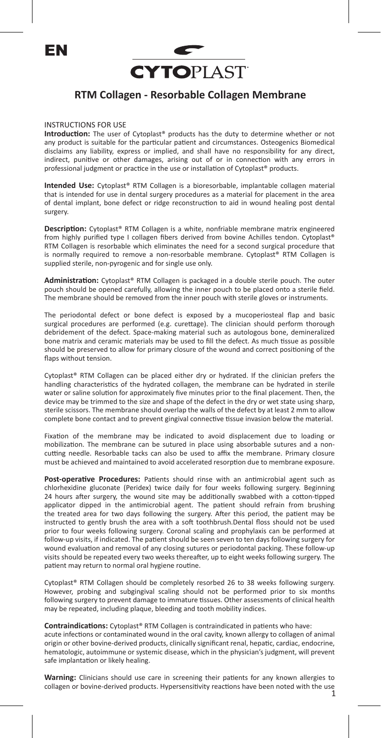

## **RTM Collagen - Resorbable Collagen Membrane**

#### INSTRUCTIONS FOR USE

**Introduction:** The user of Cytoplast® products has the duty to determine whether or not any product is suitable for the particular patient and circumstances. Osteogenics Biomedical disclaims any liability, express or implied, and shall have no responsibility for any direct, indirect, punitive or other damages, arising out of or in connection with any errors in professional judgment or practice in the use or installation of Cytoplast® products.

**Intended Use:** Cytoplast® RTM Collagen is a bioresorbable, implantable collagen material that is intended for use in dental surgery procedures as a material for placement in the area of dental implant, bone defect or ridge reconstruction to aid in wound healing post dental surgery.

**Description:** Cytoplast® RTM Collagen is a white, nonfriable membrane matrix engineered from highly purified type I collagen fibers derived from bovine Achilles tendon. Cytoplast® RTM Collagen is resorbable which eliminates the need for a second surgical procedure that is normally required to remove a non-resorbable membrane. Cytoplast® RTM Collagen is supplied sterile, non-pyrogenic and for single use only.

**Administration:** Cytoplast® RTM Collagen is packaged in a double sterile pouch. The outer pouch should be opened carefully, allowing the inner pouch to be placed onto a sterile field. The membrane should be removed from the inner pouch with sterile gloves or instruments.

The periodontal defect or bone defect is exposed by a mucoperiosteal flap and basic surgical procedures are performed (e.g. curettage). The clinician should perform thorough debridement of the defect. Space-making material such as autologous bone, demineralized bone matrix and ceramic materials may be used to fill the defect. As much tissue as possible should be preserved to allow for primary closure of the wound and correct positioning of the flaps without tension.

Cytoplast® RTM Collagen can be placed either dry or hydrated. If the clinician prefers the handling characteristics of the hydrated collagen, the membrane can be hydrated in sterile water or saline solution for approximately five minutes prior to the final placement. Then, the device may be trimmed to the size and shape of the defect in the dry or wet state using sharp, sterile scissors. The membrane should overlap the walls of the defect by at least 2 mm to allow complete bone contact and to prevent gingival connective tissue invasion below the material.

Fixation of the membrane may be indicated to avoid displacement due to loading or mobilization. The membrane can be sutured in place using absorbable sutures and a noncutting needle. Resorbable tacks can also be used to affix the membrane. Primary closure must be achieved and maintained to avoid accelerated resorption due to membrane exposure.

**Post-operative Procedures:** Patients should rinse with an antimicrobial agent such as chlorhexidine gluconate (Peridex) twice daily for four weeks following surgery. Beginning 24 hours after surgery, the wound site may be additionally swabbed with a cotton-tipped applicator dipped in the antimicrobial agent. The patient should refrain from brushing the treated area for two days following the surgery. After this period, the patient may be instructed to gently brush the area with a soft toothbrush.Dental floss should not be used prior to four weeks following surgery. Coronal scaling and prophylaxis can be performed at follow-up visits, if indicated. The patient should be seen seven to ten days following surgery for wound evaluation and removal of any closing sutures or periodontal packing. These follow-up visits should be repeated every two weeks thereafter, up to eight weeks following surgery. The patient may return to normal oral hygiene routine.

Cytoplast® RTM Collagen should be completely resorbed 26 to 38 weeks following surgery. However, probing and subgingival scaling should not be performed prior to six months following surgery to prevent damage to immature tissues. Other assessments of clinical health may be repeated, including plaque, bleeding and tooth mobility indices.

**Contraindications:** Cytoplast® RTM Collagen is contraindicated in patients who have: acute infections or contaminated wound in the oral cavity, known allergy to collagen of animal origin or other bovine-derived products, clinically significant renal, hepatic, cardiac, endocrine, hematologic, autoimmune or systemic disease, which in the physician's judgment, will prevent safe implantation or likely healing.

**Warning:** Clinicians should use care in screening their patients for any known allergies to collagen or bovine-derived products. Hypersensitivity reactions have been noted with the use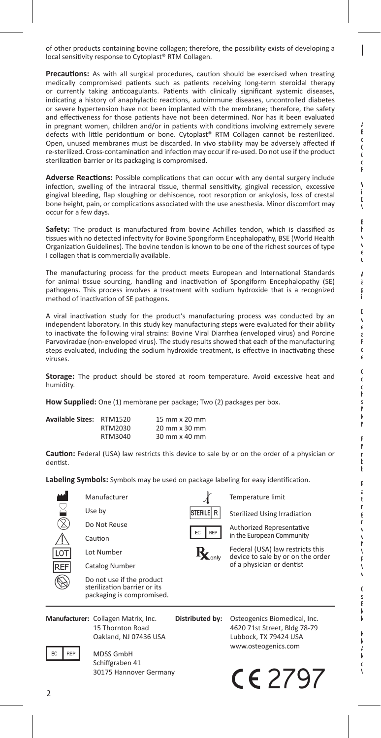of other products containing bovine collagen; therefore, the possibility exists of developing a local sensitivity response to Cytoplast® RTM Collagen.

Precautions: As with all surgical procedures, caution should be exercised when treating medically compromised patients such as patients receiving long-term steroidal therapy or currently taking anticoagulants. Patients with clinically significant systemic diseases, indicating a history of anaphylactic reactions, autoimmune diseases, uncontrolled diabetes or severe hypertension have not been implanted with the membrane; therefore, the safety and effectiveness for those patients have not been determined. Nor has it been evaluated in pregnant women, children and/or in patients with conditions involving extremely severe defects with little peridontium or bone. Cytoplast® RTM Collagen cannot be resterilized. Open, unused membranes must be discarded. In vivo stability may be adversely affected if re-sterilized. Cross-contamination and infection may occur if re-used. Do not use if the product sterilization barrier or its packaging is compromised.

ANWEISUNGEN ZUR VERWENDUNG

DE

Wundheilung nach der Dentaloperation zu unterstützen.

und nur zum einmaligen Einsatz bestimmt.

inneren Tasche entfernt werden.

ermöglichen.

Material zu verhindern.

wieder aufnehmen.

können wiederholt werden.

Wundheilung verhindern könnte.

**Einführung:** Der Benutzer von Cytoplast®-Produkten ist dafür verantwortlich, zu bestimmen, ob ein Produkt für einen bestimmten Patienten oder Umstand geeignet ist oder nicht. Osteogenics Biomedical lehnt jegliche ausdrückliche oder stillschweigende Haftbarkeit ab und übernimmt keine Verantwortung für direkte, indirekte, pönalisierende oder andere Schäden, die aus oder im Zusammenhang mit Fehlern im professionellen Urteilsvermögen oder Praktiken zum Gebrauch oder zur Installation von Cytoplast®-Produkten entstehen. **Verwendungszweck:** Cytoplast® RTM Collagen ist ein biologisch resorbierbares, implantierbares Collagenmaterial für chirurgische Dentaleingriffe, das in den Bereich des Dentalimplantats, Knochendefekts oder der Dammrekonstruktion platziert wird, um die

**Beschreibung:** Cytoplast® RTM Collagen ist eine weiße, nichtbröcklige Membranmatrix aus höchst gereinigten Collagenfasern vom Typ I, die aus der Achillessehne von Rindern gewonnen  $W_{\rm eff}$  RTM  $\rm G$ werden kann, die normalerweise zur Entfernung einer nicht-resorbierbaren Membran  $\epsilon$  RTM  $\epsilon$ 

**Anwendung:** Cytoplast® RTM Collagen ist in einer doppelten sterilen Tasche verpackt. Die äußere Tasche muss vorsichtig geöffnet werden, damit die innere Tasche in ein steriles Feld  $\epsilon$  werden  $\epsilon$ 

Der periodontale Defekt wird durch einen mukoperiostalen Lappen freigelegt und es werden grundlegende Operationsverfahren durchgeführt (z. B. Kürettage). Der Arzt sollte ein gründliches Debridement des Defekts vornehmen. Das platzschaffende Material, wie  $\epsilon$  Knochen, demineralisierte Knochen Fullung des Defekts verwendet. Es sollte so viel  $E$ die Hauptschließung der Wunde und die richtige Lappenpositionierung ohne Spannung zu

Cytoplast® RTM Collagen kann entweder trocken oder hydratisiert platziert werden. Bevorzugt der Arzt die Handhabungseigenschaften von hydratisiertem Collagen, kann die Membran vor der endgültige Platzierung für circa fünf Minuten in sterilem Wasser oder Kochsalzlösung hydratisiert werden. Dann kann die Membran in trockenem oder nassem Zustand mit einer scharfen sterilen Schere auf die Größe und Form des Defekts zugeschnitten werden. Die Membran sollte die Wände des Defekts um mindestens 2 mm überragen, damit vollständiger Knochenkontakt gewährleistet ist und um die gingival-konnektive Gewebeinvasion unter dem

Fixierung der Membran indiziert sein, um ihre Verschiebung der Membran indiziert sein, um ihre Verschiebung du<br>Einzigert sein, um ihre Verschiebung durch Belastung oder Sein, um ihre Verschiebung durch Belastung oder Sein Mobilisierung zu vermeiden. Die Membran kann mit absorbierbarem Nahtmaterial und einer nicht schneidenden Nadel angenäht werden. Sie kann auch mit resorbierbaren Heftstichen befestigt werden. Es muss ein Hauptverschluss erzielt und erhalten werden, um eine beschleunigte Resorption aufgrund des Freiliegens der Membran zu verhindern. **Postoperatives Verfahren:** Patienten sollten ihren Mund nach dem Eingriff mit einem antimikrobiellen Wirkstoff wie Chlorhexidinglukonat (Peridex) vier Wochen lang zweimal täglich ausspülen. Beginnend 24 Stunden nach dem Eingriff kann die Wundstelle zusätzlich mit einem Applikator mit Baumwollspitze betupft werden, der in antimikrobiellen Wirkstoff  $\epsilon$ nicht putzen. Danach kann der Patient angewiesen werden, den Bereich vorsichtig mit einer weichen Zahnbürste zu putzen. Nach dem Eingriff sollte vier Wochen lang keine Zahnseide verwendet werden. Koronale Zahnsteinentfernung und Prophylaxe können ggf. bei der Nachsorge durchgeführt werden. Der Patient sollte 7 bis 10 Tage nach dem Eingriff zwecks Wundenevaluation und Entfernung von Verschlussnähten oder Periodontalpackungen in die Praxis kommen. Diese Nachsorgebesuche müssen danach alle zwei Wochen, bis maximal 8  $W_{\rm eff}$  and  $W_{\rm eff}$ 

 $\mathbb C$  and  $\mathbb C$ sein. Sondierung und subgingivale Zahnsteinentfernung sollten jedoch erst 6 Monate nach dem Eingriff wieder durchgeführt werden, damit das junge Gewebe nicht beschädigt wird. Andere klinische Gesundheitsbeurteilungen, u. a. für Zahnbelag, Blutung und Zahnmobilitätsindizes,

**Kontraindikationen:** Cytoplast® RTM Collagen ist bei Patienten mit folgenden Zuständen kontraindiziert: akute Infektionen oder kontaminierte Wunde in der Mundhöhle bekannte Allergie auf Collagen tierischen Ursprungs oder andere vom Rind stammende Produkte klinisch signifikante renale, hepatische, kardiale, endokrine, hämatologische, Autoimmun- $\mathbf{C} = \mathbf{C}$ 

**Adverse Reactions:** Possible complications that can occur with any dental surgery include infection, swelling of the intraoral tissue, thermal sensitivity, gingival recession, excessive gingival bleeding, flap sloughing or dehiscence, root resorption or ankylosis, loss of crestal bone height, pain, or complications associated with the use anesthesia. Minor discomfort may occur for a few days.

**Safety:** The product is manufactured from bovine Achilles tendon, which is classified as tissues with no detected infectivity for Bovine Spongiform Encephalopathy, BSE (World Health Organization Guidelines). The bovine tendon is known to be one of the richest sources of type I collagen that is commercially available.

The manufacturing process for the product meets European and International Standards for animal tissue sourcing, handling and inactivation of Spongiform Encephalopathy (SE) pathogens. This process involves a treatment with sodium hydroxide that is a recognized method of inactivation of SE pathogens.

A viral inactivation study for the product's manufacturing process was conducted by an independent laboratory. In this study key manufacturing steps were evaluated for their ability to inactivate the following viral strains: Bovine Viral Diarrhea (enveloped virus) and Porcine Parvoviradae (non-enveloped virus). The study results showed that each of the manufacturing steps evaluated, including the sodium hydroxide treatment, is effective in inactivating these viruses.

**Storage:** The product should be stored at room temperature. Avoid excessive heat and humidity.

**How Supplied:** One (1) membrane per package; Two (2) packages per box.

| <b>Available Sizes:</b> | RTM1520 | 15 mm x 20 mm |
|-------------------------|---------|---------------|
|                         | RTM2030 | 20 mm x 30 mm |
|                         | RTM3040 | 30 mm x 40 mm |

**Caution:** Federal (USA) law restricts this device to sale by or on the order of a physician or dentist.

**Labeling Symbols:** Symbols may be used on package labeling for easy identification.



Manufacturer Use by Do Not Reuse Caution LOT Lot Number<br>REF Catalog Nun Catalog Number<br>Do not use if the product  $\bigotimes$  Do not use if the product<br>sterilization barrier or its<br>neglecting is compressive.  $\sqrt{\frac{\text{Temperature limit}}{\text{STERILE}|\text{R}}}}$  Sterilized Using Im **Sterilized Using Irradiation**<br>Authorized Representative EC REP Authorized Representative<br>in the European Community Federal (USA) law restricts this device to sale by or on the order of a physician or dentist

**Manufacturer:** Collagen Matrix, Inc. 15 Thornton Road Oakland, NJ 07436 USA



Schiffgraben 41 30175 Hannover Germany

packaging is compromised.

**Distributed by:** Osteogenics Biomedical, Inc. 4620 71st Street, Bldg 78-79 Lubbock, TX 79424 USA www.osteogenics.com

 $C<sub>2797</sub>$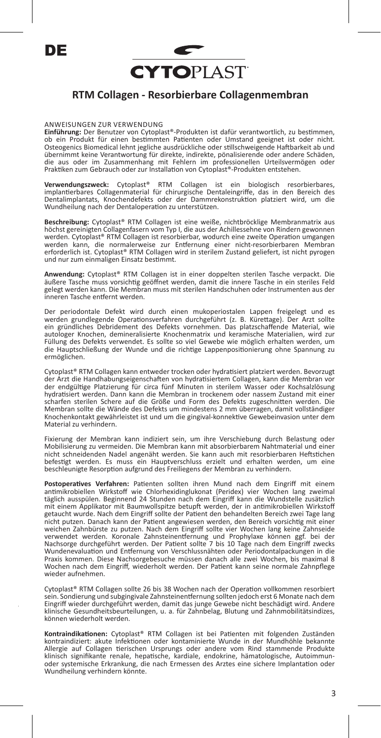

## **RTM Collagen - Resorbierbare Collagenmembran**

#### ANWEISUNGEN ZUR VERWENDUNG

**Einführung:** Der Benutzer von Cytoplast®-Produkten ist dafür verantwortlich, zu bestimmen, ob ein Produkt für einen bestimmten Patienten oder Umstand geeignet ist oder nicht. Osteogenics Biomedical lehnt jegliche ausdrückliche oder stillschweigende Haftbarkeit ab und übernimmt keine Verantwortung für direkte, indirekte, pönalisierende oder andere Schäden, die aus oder im Zusammenhang mit Fehlern im professionellen Urteilsvermögen oder Praktiken zum Gebrauch oder zur Installation von Cytoplast®-Produkten entstehen.

**Verwendungszweck:** Cytoplast® RTM Collagen ist ein biologisch resorbierbares,<br>implantierbares Collagenmaterial für chirurgische Dentaleingriffe, das in den Bereich des<br>Dentalimplantats, Knochendefekts oder der Dammrekonst Wundheilung nach der Dentaloperation zu unterstützen.

Beschreibung: Cytoplast® RTM Collagen ist eine weiße, nichtbröcklige Membranmatrix aus<br>höchst gereinigten Collagenfasern vom Typ I, die aus der Achillessehne von Rindern gewonnen werden. Cytoplast® RTM Collagen ist resorbierbar, wodurch eine zweite Operation umgangen werden kann, die normalerweise zur Entfernung einer nicht-resorbierbaren Membran erforderlich ist. Cytoplast® RTM Collagen wird in sterilem Zustand geliefert, ist nicht pyrogen und nur zum einmaligen Einsatz bestimmt.

**Anwendung:** Cytoplast® RTM Collagen ist in einer doppelten sterilen Tasche verpackt. Die äußere Tasche muss vorsichtig geöffnet werden, damit die innere Tasche in ein steriles Feld gelegt werden kann. Die Membran muss mit sterilen Handschuhen oder Instrumenten aus der inneren Tasche entfernt werden.

Der periodontale Defekt wird durch einen mukoperiostalen Lappen freigelegt und es werden grundlegende Operationsverfahren durchgeführt (z. B. Kürettage). Der Arzt sollte ein gründliches Debridement des Defekts vornehmen. Das platzschaffende Material, wie autologer Knochen, demineralisierte Knochenmatrix und keramische Materialien, wird zur Füllung des Defekts verwendet. Es sollte so viel Gewebe wie möglich erhalten werden, um die Hauptschließung der Wunde und die richtige Lappenpositionierung ohne Spannung zu ermöglichen.

Cytoplast® RTM Collagen kann entweder trocken oder hydratisiert platziert werden. Bevorzugt der Arzt die Handhabungseigenschaften von hydratisiertem Collagen, kann die Membran vor der endgültige Platzierung für circa fünf Minuten in sterilem Wasser oder Kochsalzlösung hydratisiert werden. Dann kann die Membran in trockenem oder nassem Zustand mit einer scharfen sterilen Schere auf die Größe und Form des Defekts zugeschnitten werden. Die Membran sollte die Wände des Defekts um mindestens 2 mm überragen, damit vollständiger Knochenkontakt gewährleistet ist und um die gingival-konnektive Gewebeinvasion unter dem Material zu verhindern.

Fixierung der Membran kann indiziert sein, um ihre Verschiebung durch Belastung oder Mobilisierung zu vermeiden. Die Membran kann mit absorbierbarem Nahtmaterial und einer nicht schneidenden Nadel angenäht werden. Sie kann auch mit resorbierbaren Heftstichen befestigt werden. Es muss ein Hauptverschluss erzielt und erhalten werden, um eine beschleunigte Resorption aufgrund des Freiliegens der Membran zu verhindern.

**Postoperatives Verfahren:** Patienten sollten ihren Mund nach dem Eingriff mit einem antimikrobiellen Wirkstoff wie Chlorhexidinglukonat (Peridex) vier Wochen lang zweimal täglich ausspülen. Beginnend 24 Stunden nach dem Eingriff kann die Wundstelle zusätzlich mit einem Applikator mit Baumwollspitze betupft werden, der in antimikrobiellen Wirkstoff getaucht wurde. Nach dem Eingriff sollte der Patient den behandelten Bereich zwei Tage lang nicht putzen. Danach kann der Patient angewiesen werden, den Bereich vorsichtig mit einer weichen Zahnbürste zu putzen. Nach dem Eingriff sollte vier Wochen lang keine Zahnseide verwendet werden. Koronale Zahnsteinentfernung und Prophylaxe können ggf. bei der Nachsorge durchgeführt werden. Der Patient sollte 7 bis 10 Tage nach dem Eingriff zwecks Wundenevaluation und Entfernung von Verschlussnähten oder Periodontalpackungen in die Praxis kommen. Diese Nachsorgebesuche müssen danach alle zwei Wochen, bis maximal 8 Wochen nach dem Eingriff, wiederholt werden. Der Patient kann seine normale Zahnpflege wieder aufnehmen.

Cytoplast® RTM Collagen sollte 26 bis 38 Wochen nach der Operation vollkommen resorbiert sein. Sondierung und subgingivale Zahnsteinentfernung sollten jedoch erst 6 Monate nach dem Eingriff wieder durchgeführt werden, damit das junge Gewebe nicht beschädigt wird. Andere klinische Gesundheitsbeurteilungen, u. a. für Zahnbelag, Blutung und Zahnmobilitätsindizes, können wiederholt werden.

Kontraindikationen: Cytoplast® RTM Collagen ist bei Patienten mit folgenden Zuständen<br>kontraindiziert: akute Infektionen oder kontaminierte Wunde in der Mundhöhle bekannte Allergie auf Collagen tierischen Ursprungs oder andere vom Rind stammende Produkte klinisch signifikante renale, hepatische, kardiale, endokrine, hämatologische, Autoimmunoder systemische Erkrankung, die nach Ermessen des Arztes eine sichere Implantation oder Wundheilung verhindern könnte.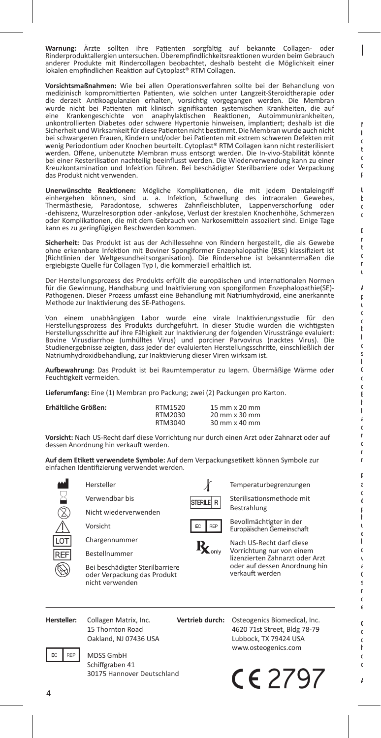Warnung: Ärzte sollten ihre Patienten sorgfältig auf bekannte Collagen- oder<br>Rinderproduktallergien untersuchen. Überempfindlichkeitsreaktionen wurden beim Gebrauch anderer Produkte mit Rindercollagen beobachtet, deshalb besteht die Möglichkeit einer lokalen empfindlichen Reaktion auf Cytoplast® RTM Collagen.

**Vorsichtsmaßnahmen:** Wie bei allen Operationsverfahren sollte bei der Behandlung von<br>medizinisch kompromittierten Patienten, wie solchen unter Langzeit-Steroidtherapie oder<br>die derzeit Antikoagulanzien erhalten, vorsichti wurde nicht bei Patienten mit klinisch signifikanten systemischen Krankheiten, die auf eine Krankheiten, die auf eine Krankengeschichte von anaphylaktischen Reaktionen, Autoimmunkrankheiten, unkontrollierten Diabetes oder schwere Hypertonie hinweisen, implantiert; deshalb ist die Sicherheit und Wirksamkeit für diese Patienten nicht bestimmt. Die Membran wurde auch nicht bei schwangeren Frauen, Kindern und/oder bei Patienten mit extrem schweren Defekten mit wenig Periodontium oder Knochen beurteilt. Cytoplast® RTM Collagen kann nicht resterilisiert werden. Offene, unbenutzte Membran muss entsorgt werden. Die In-vivo-Stabilität könnte bei einer Resterilisation nachteilig beeinflusst werden. Die Wiederverwendung kann zu einer Kreuzkontamination und Infektion führen. Bei beschädigter Sterilbarriere oder Verpackung das Produkt nicht verwenden.

MODE D'EMPLOI

 $\mathbb{R}^n$ 

produits Cytoplast®.

usage unique.

et de mobilité des dents.

ou une bonne cicatrisation.

**Introduction:** Il revient à l'utilisateur de produits Cytoplast® de déterminer la conformité  $\mathfrak{c}$  un patient et à des circonstances données. Osteogenics Biomedient et à des circonstances de circonstances de circonstances données. Osteogenics Biomedient et à de toute responsabilité, explicite ou implicite, et ne sera en aucun cas responsable de tout dommage direct, indirect, secondaire ou autre, découlant de ou en rapport avec toute erreur de jugement ou d'usage professionnel dans le cadre de l'utilisation ou de l'installation des

**Utilisation:** Cytoplast® RTM Collagen se présente sous forme d'un matériau implantable et biorésorbable à base de collagène, destiné à une utilisation dans les interventions chirurgicales dentaires où le matériau est placé dans les régions d'implants dentaires, de perte de substance osseuse ou de reconstruction de crête, pour contribuer à la cicatrisation post-chirurgicale des plaies. **Description:** Cytoplast® RTM Collagen est une matrice sous forme d'une membrane blanche non friable, fabriquée à base de fibres de collagène de type I hautement purifié dérivé du tendon d'Achille de bovins. Cytoplast® RTM Collagen est résorbable, éliminant ainsi la deuxième intervention chirurgicale normalement requise pour le retrait d'une membrane non résorbable. Cytoplast® RTM Collagen est fournie stérile, est apyrogène et est destinée à un

**Administration:** Cytoplast® RTM Collagen est emballé dans une double pochette stérile. La pochette extérieure doit être ouverte délicatement, puis placer la pochette intérieure sur un champ stérile. La membrane doit être retirée de la pochette intérieure à l'aide de gants ou d'instruments stériles. Exposer la perte de substance parodontale ou perte de substance osseuse en soulevant un lambeau mucopériosté, puis procéder aux étapes chirurgicales de base (curetage, par exemple). Le praticien doit d'abord pratiquer un débridement complet de la perte de substance. Des matériaux d'espacement comme de l'os autologue, une matrice osseuse déminéralisée ou de la céramique peuvent être utilisés pour combler la perte de substance. Conserver le plus de tissu possible afin de permettre une fermeture primaire de la plaie et un positionnement correct des lambeaux sans exercer de tension. Cytoplast® RTM Collagen peut être mis en place sec ou réhydraté. Si le praticien préfère les caractéristiques de manipulation du collagène hydraté, la membrane peut être hydratée dans de l'eau ou du sérum physiologique stérile pendant environ cinq minutes avant la mise en place finale. Ensuite, le dispositif peut être découpé à la taille et la forme de la perte de substance, à l'état sec ou mouillé, à l'aide de ciseaux tranchants stériles. La membrane doit chevaucher les bords de la perte de substance d'au moins 2 mm afin de permettre un contact complet avec l'os et d'empêcher une invasion de tissu conjonctif gingival sous le matériau. La fixation de la membrane peut être indiquée pour éviter tout déplacement dû à une charge ou une mobilisation. La membrane peut être suturée en place à l'aide de sutures résorbables et d'une aiguille mousse. Des agrafes résorbables peuvent également être utilisées pour fixer la membrane. Une fermeture primaire de la plaie doit être réalisée et maintenue pour éviter une

**Procédures postopératoires:** Les patients doivent faire des bains de bouche avec un agent  $\epsilon$  and  $\epsilon$  $\mathbf c = \mathbf c$ également être tamponnée à l'aide d'un coton-tige imprégné d'un agent antimicrobien. Le patient doit éviter de se brosser les dents dans la région traitée, pendant deux jours suivant l'opération. Ensuite, le patient pourra brosser la zone avec une brosse à dents souple. Ne pas utiliser de fil dentaire pendant quatre semaines suivant l'opération. Un détartrage coronaire  $\epsilon$  des visites  $\epsilon$ les besoins. Le patient doit revenir sept à dix jours après l'opération pour une évaluation de la plaie et le retrait des sutures ou du matériau de comblement parodontal. Ensuite, ces visites de contrôle doivent être répétées toutes les deux semaines, jusqu'à huit semaines après l'opération. Le patient peut reprendre une hygiène buccale normale. Cytoplast® RTM Collagen se résorbe généralement complètement 26 à 38 semaines après l'opération. Le sondage et le détartrage sous-gingivaux ne doivent cependant pas être pratiqués avant six mois postopératoires pour éviter d'endommager les tissus immatures. D'autres évaluations de la santé clinique peuvent être répétées, notamment les indices de plaque, de saignement

**Contre-indications:** Cytoplast® RTM Collagen est contre-indiqué chez les patients présentant: des infections aiguës ou une plaie contaminée de la cavité buccale une allergie connue au collagène d'origine animale ou à d'autres produits d'origine bovine une maladie rénale, hépatique, cardiaque, endocrinienne, hématologique, auto-immune ou systémique cliniquement significative qui, selon l'avis du praticien, empêche une implantation sans danger

**Avertissement:** Les praticiens doivent dépister avec soin toute allergie connue au collagène

résorption accélérée en raison d'une exposition de la membrane.

**Unerwünschte Reaktionen:** Mögliche Komplikationen, die mit jedem Dentaleingriff<br>einhergehen können, sind u. a. Infektion, Schwellung des intraoralen Gewebes,<br>Thermästhesie, Paradontose, schweres Zahnfleischbluten, Lappenv Thermästhesie, Paradontose, schweres Zahnfleischbluten, Lappenverschorfung oder -dehiszenz, Wurzelresorption oder -ankylose, Verlust der krestalen Knochenhöhe, Schmerzen oder Komplikationen, die mit dem Gebrauch von Narkosemitteln assoziiert sind. Einige Tage kann es zu geringfügigen Beschwerden kommen.

**Sicherheit:** Das Produkt ist aus der Achillessehne von Rindern hergestellt, die als Gewebe ohne erkennbare Infektion mit Boviner Spongiformer Enzephalopathie (BSE) klassifiziert ist (Richtlinien der Weltgesundheitsorganisation). Die Rindersehne ist bekanntermaßen die ergiebigste Quelle für Collagen Typ I, die kommerziell erhältlich ist.

Der Herstellungsprozess des Produkts erfüllt die europäischen und internationalen Normen für die Gewinnung, Handhabung und Inaktivierung von spongiformen Enzephalopathie(SE)- Pathogenen. Dieser Prozess umfasst eine Behandlung mit Natriumhydroxid, eine anerkannte Methode zur Inaktivierung des SE-Pathogens.

Von einem unabhängigen Labor wurde eine virale Inaktivierungsstudie für den Herstellungsprozess des Produkts durchgeführt. In dieser Studie wurden die wichtigsten Herstellungsschritte auf ihre Fähigkeit zur Inaktivierung der folgenden Virusstränge evaluiert: Bovine Virusdiarrhoe (umhülltes Virus) und porciner Parvovirus (nacktes Studienergebnisse zeigten, dass jeder der evaluierten Herstellungsschritte, einschließlich der Natriumhydroxidbehandlung, zur Inaktivierung dieser Viren wirksam ist.

**Aufbewahrung:** Das Produkt ist bei Raumtemperatur zu lagern. Übermäßige Wärme oder Feuchtigkeit vermeiden.

**Lieferumfang:** Eine (1) Membran pro Packung; zwei (2) Packungen pro Karton.

| Erhältliche Größen: | RTM1520 | 15 mm x 20 mm |
|---------------------|---------|---------------|
|                     | RTM2030 | 20 mm x 30 mm |
|                     | RTM3040 | 30 mm x 40 mm |

**Vorsicht:** Nach US-Recht darf diese Vorrichtung nur durch einen Arzt oder Zahnarzt oder auf dessen Anordnung hin verkauft werden.

**Auf dem Etikett verwendete Symbole:** Auf dem Verpackungsetikett können Symbole zur einfachen Identifizierung verwendet werden.

|     | Hersteller                                                                                          |                            | Temperaturbegrenzungen                                       |
|-----|-----------------------------------------------------------------------------------------------------|----------------------------|--------------------------------------------------------------|
|     | Verwendbar bis                                                                                      | <b>STERILE R</b>           | Sterilisationsmethode mit                                    |
|     | Nicht wiederverwenden                                                                               |                            | Bestrahlung                                                  |
| ٠Ţ  | Vorsicht                                                                                            | <b>REP</b><br>EC           | Bevollmächtigter in der<br>Europäischen Gemeinschaft         |
| LOT | Chargennummer                                                                                       |                            | Nach US-Recht darf diese                                     |
| REF | Bestellnummer                                                                                       | $\mathbf{R}_{\text{only}}$ | Vorrichtung nur von einem<br>lizenzierten Zahnarzt oder Arzt |
|     | Bei beschädigter Sterilbarriere<br>oder Verpackung das Produkt<br>المتمالة ويمتحده ويسترد والملمقود |                            | oder auf dessen Anordnung hin<br>verkauft werden             |

**Hersteller:** Collagen Matrix, Inc. 15 Thornton Road Oakland, NJ 07436 USA

nicht verwenden

**Vertrieb durch:** Osteogenics Biomedical, Inc. 4620 71st Street, Bldg 78-79 Lubbock, TX 79424 USA www.osteogenics.com

 $C<sub>2797</sub>$ 

EC REP MDSS GmbH<br>Schiffgraben 41

30175 Hannover Deutschland

4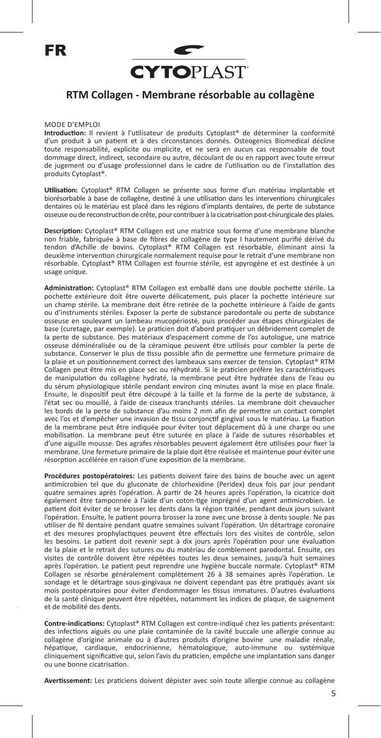

## **RTM Collagen - Membrane résorbable au collagène**

#### MODE D'EMPLOI

Introduction: Il revient à l'utilisateur de produits Cytoplast® de déterminer la conformité d'un produit à un patient et à des circonstances donnés. Osteogenics Biomedical décline toute responsabilité, explicite ou implicite, et ne sera en aucun cas responsable de tout dommage direct, indirect, secondaire ou autre, découlant de ou en rapport avec toute erreur de jugement ou d'usage professionnel dans le cadre de l'utilisation ou de l'installation des produits Cytoplast®.

**Utilisation:** Cytoplast® RTM Collagen se présente sous forme d'un matériau implantable et biorésorbable à base de collagène, destiné à une utilisation dans les interventions chirurgicales dentaires où le matériau est placé dans les régions d'implants dentaires, de perte de substance osseuse ou de reconstruction de crête, pour contribuer à la cicatrisation post-chirurgicale des plaies.

**Description:** Cytoplast® RTM Collagen est une matrice sous forme d'une membrane blanche non friable, fabriquée à base de fibres de collagène de type I hautement purifié dérivé du tendon d'Achille de bovins. Cytoplast® RTM Collagen est résorbable, éliminant ainsi la deuxième intervention chirurgicale normalement requise pour le retrait d'une membrane non résorbable. Cytoplast® RTM Collagen est fournie stérile, est apyrogène et est destinée à un usage unique.

**Administration:** Cytoplast® RTM Collagen est emballé dans une double pochette stérile. La pochette extérieure doit être ouverte délicatement, puis placer la pochette intérieure sur un champ stérile. La membrane doit être retirée de la pochette intérieure à l'aide de gants ou d'instruments stériles. Exposer la perte de substance parodontale ou perte de substance osseuse en soulevant un lambeau mucopériosté, puis procéder aux étapes chirurgicales de base (curetage, par exemple). Le praticien doit d'abord pratiquer un débridement complet de la perte de substance. Des matériaux d'espacement comme de l'os autologue, une matrice osseuse déminéralisée ou de la céramique peuvent être utilisés pour combler la perte de substance. Conserver le plus de tissu possible afin de permettre une fermeture primaire de la plaie et un positionnement correct des lambeaux sans exercer de tension. Cytoplast® RTM Collagen peut être mis en place sec ou réhydraté. Si le praticien préfère les caractéristiques de manipulation du collagène hydraté, la membrane peut être hydratée dans de l'eau ou du sérum physiologique stérile pendant environ cinq minutes avant la mise en place finale. Ensuite, le dispositif peut être découpé à la taille et la forme de la perte de substance, à l'état sec ou mouillé, à l'aide de ciseaux tranchants stériles. La membrane doit chevaucher les bords de la perte de substance d'au moins 2 mm afin de permettre un contact complet avec l'os et d'empêcher une invasion de tissu conjonctif gingival sous le matériau. La fixation de la membrane peut être indiquée pour éviter tout déplacement dû à une charge ou une mobilisation. La membrane peut être suturée en place à l'aide de sutures résorbables et d'une aiguille mousse. Des agrafes résorbables peuvent également être utilisées pour fixer la membrane. Une fermeture primaire de la plaie doit être réalisée et maintenue pour éviter une résorption accélérée en raison d'une exposition de la membrane.

**Procédures postopératoires:** Les patients doivent faire des bains de bouche avec un agent antimicrobien tel que du gluconate de chlorhexidine (Peridex) deux fois par jour pendant quatre semaines après l'opération. À partir de 24 heures après l'opération, la cicatrice doit également être tamponnée à l'aide d'un coton-tige imprégné d'un agent antimicrobien. Le patient doit éviter de se brosser les dents dans la région traitée, pendant deux jours suivant l'opération. Ensuite, le patient pourra brosser la zone avec une brosse à dents souple. Ne pas utiliser de fil dentaire pendant quatre semaines suivant l'opération. Un détartrage coronaire et des mesures prophylactiques peuvent être effectués lors des visites de contrôle, selon les besoins. Le patient doit revenir sept à dix jours après l'opération pour une évaluation de la plaie et le retrait des sutures ou du matériau de comblement parodontal. Ensuite, ces visites de contrôle doivent être répétées toutes les deux semaines, jusqu'à huit semaines après l'opération. Le patient peut reprendre une hygiène buccale normale. Cytoplast® RTM Collagen se résorbe généralement complètement 26 à 38 semaines après l'opération. Le sondage et le détartrage sous-gingivaux ne doivent cependant pas être pratiqués avant six mois postopératoires pour éviter d'endommager les tissus immatures. D'autres évaluations de la santé clinique peuvent être répétées, notamment les indices de plaque, de saignement et de mobilité des dents.

**Contre-indications:** Cytoplast® RTM Collagen est contre-indiqué chez les patients présentant: des infections aiguës ou une plaie contaminée de la cavité buccale une allergie connue au collagène d'origine animale ou à d'autres produits d'origine bovine une maladie rénale, hépatique, cardiaque, endocrinienne, hématologique, auto-immune ou systémique cliniquement significative qui, selon l'avis du praticien, empêche une implantation sans danger ou une bonne cicatrisation.

**Avertissement:** Les praticiens doivent dépister avec soin toute allergie connue au collagène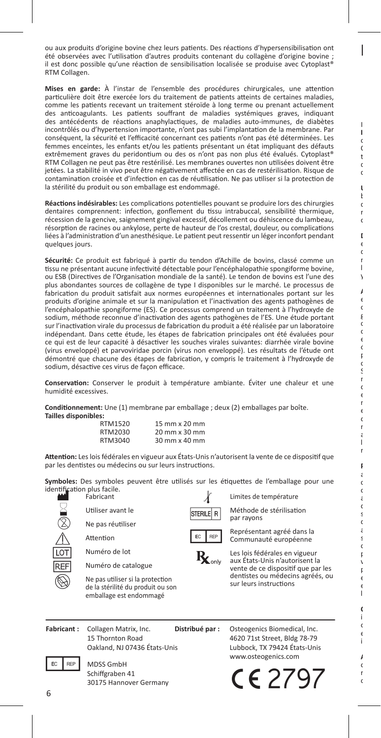ou aux produits d'origine bovine chez leurs patients. Des réactions d'hypersensibilisation ont été observées avec l'utilisation d'autres produits contenant du collagène d'origine bovine ; il est donc possible qu'une réaction de sensibilisation localisée se produise avec Cytoplast® RTM Collagen.

**Mises en garde:** À l'instar de l'ensemble des procédures chirurgicales, une attention particulière doit être exercée lors du traitement de patients atteints de certaines maladies, comme les patients recevant un traitement stéroïde à long terme ou prenant actuellement des anticoagulants. Les patients souffrant de maladies systémiques graves, indiquant des antécédents de réactions anaphylactiques, de maladies auto-immunes, de diabètes incontrôlés ou d'hypertension importante, n'ont pas subi l'implantation de la membrane. Par conséquent, la sécurité et l'efficacité concernant ces patients n'ont pas été déterminées. Les femmes enceintes, les enfants et/ou les patients présentant un état impliquant des défauts extrêmement graves du peridontium ou des os n'ont pas non plus été évalués. Cytoplast® RTM Collagen ne peut pas être restérilisé. Les membranes ouvertes non utilisées doivent être jetées. La stabilité in vivo peut être négativement affectée en cas de restérilisation. Risque de contamination croisée et d'infection en cas de réutilisation. Ne pas utiliser si la protection de la stérilité du produit ou son emballage est endommagé.

**Réactions indésirables:** Les complications potentielles pouvant se produire lors des chirurgies dentaires comprennent: infection, gonflement du tissu intrabuccal, sensibilité thermique, récession de la gencive, saignement gingival excessif, décollement ou déhiscence du lambeau, résorption de racines ou ankylose, perte de hauteur de l'os crestal, douleur, ou complications liées à l'administration d'un anesthésique. Le patient peut ressentir un léger inconfort pendant quelques jours.

**Sécurité:** Ce produit est fabriqué à partir du tendon d'Achille de bovins, classé comme un tissu ne présentant aucune infectivité détectable pour l'encéphalopathie spongiforme bovine, ou ESB (Directives de l'Organisation mondiale de la santé). Le tendon de bovins est l'une des plus abondantes sources de collagène de type I disponibles sur le marché. Le processus de fabrication du produit satisfait aux normes européennes et internationales portant sur les produits d'origine animale et sur la manipulation et l'inactivation des agents pathogènes de l'encéphalopathie spongiforme (ES). Ce processus comprend un traitement à l'hydroxyde de sodium, méthode reconnue d'inactivation des agents pathogènes de l'ES. Une étude portant sur l'inactivation virale du processus de fabrication du produit a été réalisée par un laboratoire indépendant. Dans cette étude, les étapes de fabrication principales ont été évaluées pour ce qui est de leur capacité à désactiver les souches virales suivantes: diarrhée virale bovine (virus enveloppé) et parvoviridae porcin (virus non enveloppé). Les résultats de l'étude ont démontré que chacune des étapes de fabrication, y compris le traitement à l'hydroxyde de sodium, désactive ces virus de façon efficace.

**Conservation:** Conserver le produit à température ambiante. Éviter une chaleur et une humidité excessives.

**Conditionnement:** Une (1) membrane par emballage ; deux (2) emballages par boîte. **Tailles disponibles:**

| RTM1520 | 15 mm x 20 mm |
|---------|---------------|
| RTM2030 | 20 mm x 30 mm |
| RTM3040 | 30 mm x 40 mm |

**Attention:** Les lois fédérales en vigueur aux États-Unis n'autorisent la vente de ce dispositif que par les dentistes ou médecins ou sur leurs instructions.

**Symboles:** Des symboles peuvent être utilisés sur les étiquettes de l'emballage pour une identification plus facile. M Fabricant Limites de température



Utiliser avant le

Ne pas réutiliser

Attention

Numéro de lot

Numéro de catalogue<br>Ne pas utiliser si la protection L Ne pas utiliser si la protection de la stérilité du produit ou son emballage est endommagé

STERILE R Méthode de stérilisation par rayons



EC REP Représentant agréé dans la<br>Communauté européenne



Les lois fédérales en vigueur aux États-Unis n'autorisent la vente de ce dispositif que par les dentistes ou médecins agréés, ou sur leurs instructions

INSTRUCCIONES DE USO

ES

cicatrización tras una cirugía dental.

reabsorción por la exposición de la membrana.

impida una implantación segura o una correcta cicatrización.

y de un solo uso.

de los productos Cytoplast®, o en relación con los mismos.

**Introducción:** El usuario de los productos Cytoplast® tiene la obligación de determinar si cualquier producto es adecuado o no para el paciente y las circunstancias en concreto.  $\mathbb C$  or implicit  $\mathbb C$ tendrá ninguna responsabilidad por cualquier daño directo, indirecto, indirecto, indirecto, punitivo o de otro tipo o de otro tipo o de otro tipo o de otro tipo o de otro tipo o de otro tipo o de otro tipo o de otro tipo o  $\mathfrak{c}$  suria profesional o de c

**Uso previsto:** El colágeno Cytoplast® RTM es un material elaborado con colágeno bioreabsorbible e implantable que ha sido concebido para ser usado en intervenciones de cirugía dental, como material de sustitución en el campo de los implantes dentales, la reconstrucción de defectos óseos o de crestas alveolares, para contribuir al proceso de

**Descripción:** El colágeno Cytoplast® RTM es una matriz membranosa blanca, no friable,  $\epsilon$  a partir de colágeno de tipo I altamente purificadas procedentes de tendono de tendono de tendono de tendono de tendono de tendono de tendono de tendono de tendono de tendono de tendono de tendono de tendono de tendo  $\mathfrak{c}$  de origen bo necesidad de una segunda intervención a la que normalmente hay que recurrir para retirar las membranas no reabsorbibles. Cytoplast® RTM Collagen se entrega estéril, es no pirogénico

**Administración:** El colágeno Cytoplast® RTM se suministra envasado en una doble bolsa estéril. La bolsa exterior deberá abrirse con cuidado, de forma que la bolsa interna pueda colocarse sobre un campo estéril. La membrana deberá extraerse de la bolsa interior con  $\epsilon$  instrumental o colgajo mucoperióstico, llevándose a cabo procedimientos quirúrgicos básicos (por ejemplo, curetaje). El clínico deberá efectuar un desbridamiento exhaustivo del defecto. Para rellenar  $e^+$ ósea desmineralizada y materiales cerámicos. Deberá conservarse la mayor cantidad de tejido posible para que pueda efectuarse un cierre primario de la herida y los colgajos puedan ser colocados sin tensión. El colágeno Cytoplast® RTM puede ser colocado en seco o hidratado. Si el clínico prefiere las características de manejo del colágeno hidratado, podrá hidratar la membrana en agua o suero salino estéril durante unos cinco minutos antes de su colocación definitiva. A continuación, podrá recortarse el dispositivo al tamaño y con la forma del defecto,  $e = \pm$ menos 2 mm las paredes del defecto para permitir un contacto total con el hueso y para  $\epsilon$  invasión de tejido conectivo gina $\epsilon$ de la membrana puede estar indicada para evitar cualquier desplazamiento por cargas o movilizaciones. La membrana puede suturarse en el lugar donde se colocó mediante suturas  $\epsilon$  y con una agusarse puntos  $\epsilon$ la membrana. Podrá realizarse un cierre primario que se mantendrá para evita una rápida

**Procedimientos postoperatorios:** Los pacientes deberá efectuar enjuagues con un agente  $\tilde{\epsilon}$  and  $\tilde{\epsilon}$ cuatro semanas tras la intervención. 24 horas después de la intervención, la herida podrá curarse además mediante aplicaciones con una torunda de algodón impregnada en el agente antimicrobiano. El paciente deberá abstenerse de cepillar la zona tratada durante los dos días siguientes a la intervención. Pasado este tiempo, se le indicará al paciente que cepille suavemente la zona con un cepillo de dientes blando. No deberá usarse hilo dental hasta  $\mathfrak{c}$  pasen cuatro semanas de semanas de semanas de seguimiento podrá las visitas de seguimiento podrá las visitas de seguimiento podrá las visitas de seguimiento podrá las visitas de seguimiento podrá las visitas de  $\epsilon$  cabo un rasp ser examinado de siete a diez días de la intervención para evaluar la herida y para retirar cualquier sutura, o para un relleno periodontal. Estas visitas de seguimiento deberán repetirse posteriormente cada dos semanas, hasta ocho semanas de la intervención. El paciente puede volver a la higiene bucal normal de rutina. El colágeno Cytoplast® RTM deberá reabsorberse por completo en un plazo de 26 a 38 semanas de la intervención. Sin embargo, no deberá  $\epsilon$  el raspado sub  $\epsilon$  causar daño a los tejidos inmaduros. Poderán repetit $\epsilon$ la situación clínica, incluidas placas, y los índices de hemorragia y de movilidad dental.  $C = \{C_1, C_2, \ldots, C_n\}$ infección aguda o herida contaminada en la cavidad oral. alergia conocida al colágeno de origen animal o a otros productos de origen bovino. enfermedad renal, hepática, cardiaca,  $e = \frac{1}{2}$ 

**Atención:** Los clínicos deberán tener cuidado de detectar en sus pacientes la existencia de cualquier alergia conocida al colágeno o a productos de origen bovino. Se han observado reacciones de hipersensibilidad con el uso de otros productos que contenían colágeno de  $\mathfrak{c}$  -la posibilidad de desarrollar una respuesta de desarrollar una respuesta de la posibilidad de hipersensibilidad de de hipersensibilidad de hipersensibilidad de hipersensibilidad de hipersensibilidad de hipersen

**Fabricant :** Collagen Matrix, Inc. 15 Thornton Road Oakland, NJ 07436 États-Unis

**Distribué par :** Osteogenics Biomedical, Inc. 4620 71st Street, Bldg 78-79 Lubbock, TX 79424 États-Unis www.osteogenics.com



Schiffgraben 41 30175 Hannover Germany C2797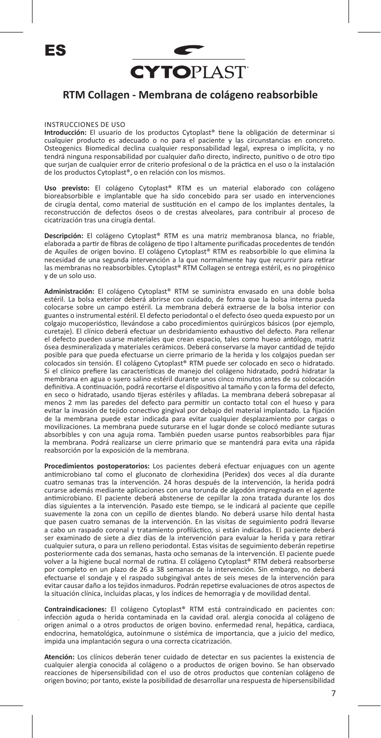

## **RTM Collagen - Membrana de colágeno reabsorbible**

#### INSTRUCCIONES DE USO

**Introducción:** El usuario de los productos Cytoplast® tiene la obligación de determinar si cualquier producto es adecuado o no para el paciente y las circunstancias en concreto. Osteogenics Biomedical declina cualquier responsabilidad legal, expresa o implícita, y no tendrá ninguna responsabilidad por cualquier daño directo, indirecto, punitivo o de otro tipo que surjan de cualquier error de criterio profesional o de la práctica en el uso o la instalación de los productos Cytoplast®, o en relación con los mismos.

**Uso previsto:** El colágeno Cytoplast® RTM es un material elaborado con colágeno bioreabsorbible e implantable que ha sido concebido para ser usado en intervenciones de cirugía dental, como material de sustitución en el campo de los implantes dentales, la reconstrucción de defectos óseos o de crestas alveolares, para contribuir al proceso de cicatrización tras una cirugía dental.

**Descripción:** El colágeno Cytoplast® RTM es una matriz membranosa blanca, no friable, elaborada a partir de fibras de colágeno de tipo I altamente purificadas procedentes de tendón de Aquiles de origen bovino. El colágeno Cytoplast® RTM es reabsorbible lo que elimina la necesidad de una segunda intervención a la que normalmente hay que recurrir para retirar las membranas no reabsorbibles. Cytoplast® RTM Collagen se entrega estéril, es no pirogénico y de un solo uso.

**Administración:** El colágeno Cytoplast® RTM se suministra envasado en una doble bolsa estéril. La bolsa exterior deberá abrirse con cuidado, de forma que la bolsa interna pueda colocarse sobre un campo estéril. La membrana deberá extraerse de la bolsa interior con guantes o instrumental estéril. El defecto periodontal o el defecto óseo queda expuesto por un colgajo mucoperióstico, llevándose a cabo procedimientos quirúrgicos básicos (por ejemplo, curetaje). El clínico deberá efectuar un desbridamiento exhaustivo del defecto. Para rellenar el defecto pueden usarse materiales que crean espacio, tales como hueso antólogo, matriz ósea desmineralizada y materiales cerámicos. Deberá conservarse la mayor cantidad de tejido posible para que pueda efectuarse un cierre primario de la herida y los colgajos puedan ser colocados sin tensión. El colágeno Cytoplast® RTM puede ser colocado en seco o hidratado. Si el clínico prefiere las características de manejo del colágeno hidratado, podrá hidratar la membrana en agua o suero salino estéril durante unos cinco minutos antes de su colocación definitiva. A continuación, podrá recortarse el dispositivo al tamaño y con la forma del defecto, en seco o hidratado, usando tijeras estériles y afiladas. La membrana deberá sobrepasar al menos 2 mm las paredes del defecto para permitir un contacto total con el hueso y para evitar la invasión de tejido conectivo gingival por debajo del material implantado. La fijación de la membrana puede estar indicada para evitar cualquier desplazamiento por cargas o movilizaciones. La membrana puede suturarse en el lugar donde se colocó mediante suturas absorbibles y con una aguja roma. También pueden usarse puntos reabsorbibles para fijar la membrana. Podrá realizarse un cierre primario que se mantendrá para evita una rápida reabsorción por la exposición de la membrana.

**Procedimientos postoperatorios:** Los pacientes deberá efectuar enjuagues con un agente antimicrobiano tal como el gluconato de clorhexidina (Peridex) dos veces al día durante cuatro semanas tras la intervención. 24 horas después de la intervención, la herida podrá curarse además mediante aplicaciones con una torunda de algodón impregnada en el agente antimicrobiano. El paciente deberá abstenerse de cepillar la zona tratada durante los dos días siguientes a la intervención. Pasado este tiempo, se le indicará al paciente que cepille suavemente la zona con un cepillo de dientes blando. No deberá usarse hilo dental hasta que pasen cuatro semanas de la intervención. En las visitas de seguimiento podrá llevarse a cabo un raspado coronal y tratamiento profiláctico, si están indicados. El paciente deberá ser examinado de siete a diez días de la intervención para evaluar la herida y para retirar cualquier sutura, o para un relleno periodontal. Estas visitas de seguimiento deberán repetirse posteriormente cada dos semanas, hasta ocho semanas de la intervención. El paciente puede volver a la higiene bucal normal de rutina. El colágeno Cytoplast® RTM deberá reabsorberse por completo en un plazo de 26 a 38 semanas de la intervención. Sin embargo, no deberá efectuarse el sondaje y el raspado subgingival antes de seis meses de la intervención para evitar causar daño a los tejidos inmaduros. Podrán repetirse evaluaciones de otros aspectos de la situación clínica, incluidas placas, y los índices de hemorragia y de movilidad dental.

**Contraindicaciones:** El colágeno Cytoplast® RTM está contraindicado en pacientes con: infección aguda o herida contaminada en la cavidad oral. alergia conocida al colágeno de origen animal o a otros productos de origen bovino. enfermedad renal, hepática, cardiaca, endocrina, hematológica, autoinmune o sistémica de importancia, que a juicio del medico, impida una implantación segura o una correcta cicatrización.

**Atención:** Los clínicos deberán tener cuidado de detectar en sus pacientes la existencia de cualquier alergia conocida al colágeno o a productos de origen bovino. Se han observado reacciones de hipersensibilidad con el uso de otros productos que contenían colágeno de origen bovino; por tanto, existe la posibilidad de desarrollar una respuesta de hipersensibilidad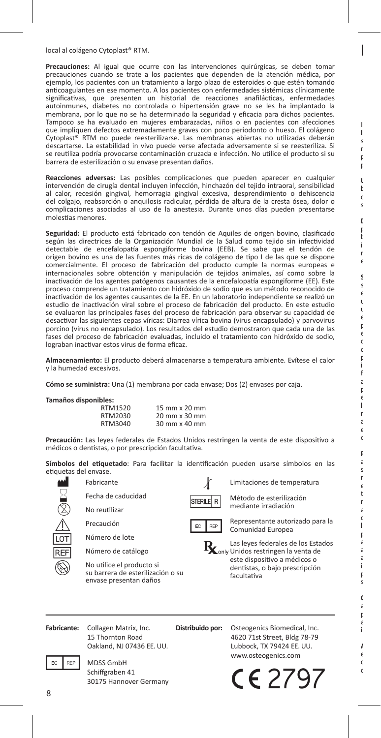local al colágeno Cytoplast® RTM.

**Precauciones:** Al igual que ocurre con las intervenciones quirúrgicas, se deben tomar precauciones cuando se trate a los pacientes que dependen de la atención médica, por ejemplo, los pacientes con un tratamiento a largo plazo de esteroides o que estén tomando anticoagulantes en ese momento. A los pacientes con enfermedades sistémicas clínicamente significativas, que presenten un historial de reacciones anafilácticas, enfermedades autoinmunes, diabetes no controlada o hipertensión grave no se les ha implantado la membrana, por lo que no se ha determinado la seguridad y eficacia para dichos pacientes. Tampoco se ha evaluado en mujeres embarazadas, niños o en pacientes con afecciones que impliquen defectos extremadamente graves con poco periodonto o hueso. El colágeno Cytoplast® RTM no puede reesterilizarse. Las membranas abiertas no utilizadas deberán descartarse. La estabilidad in vivo puede verse afectada adversamente si se reesteriliza. Si se reutiliza podría provocarse contaminación cruzada e infección. No utilice el producto si su barrera de esterilización o su envase presentan daños.

ISTRUZIONI PER L'USO

IT

esclusivamente monouso.

ottenere e mantenere la chiusura primaria.

di una sensibilità locale in reazione al collagene Cytoplast® RTM.

**Introduzione:** L'utente dei prodotti Cytoplast® ha il dovere di determinare se tali prodotti siano adatti al particolare paziente e alle circostanze. Osteogenics Biomedical declina qualsiasi responsabilità, espressa o implicita, e non avrà alcuna responsabilità per danni diretti, indiretti, punitivi o di altro tipo, derivanti da o correlati a qualsiasi errore nel giudizio o nella pratica

**Uso previsto:** Il collagene Cytoplast® RTM è un materiale bioassorbibile e impiantabile a base di collagene, utilizzabile nelle procedure chirurgiche odontoiatriche come materiale da collocare nell'area dell'impianto dentale, del difetto osseo o nella ricostruzione del bordo, allo scopo di facilitare la cicatrizzazione della ferita dopo l'intervento odontoiatrico. **Descrizione:** Il collagene Cytoplast® RTM è una matrice membranosa bianca, non friabile, prodotta con fibre di collagene di tipo I altamente purificato, ricavate dal tendine di Achille  $\mathbf{R}$ intervento chirurgico, normalmente necessario per la rimozione di una membrana non riassorbibile. Cytoplast® RTM Collagen è sterilizzato viene fornito sterile, apirogeno ed é

**Somministrazione:** Il collagene Cytoplast® RTM Collagen è confezionato in una doppia busta sterile. La busta esterna deve essere aperta con cura, in modo che quella interna possa essere appoggiata su un piano sterile. La membrana deve essere rimossa dalla busta interna utilizzando guanti o strumenti sterili. Il difetto parodontale od osseo è esposto mediante un lembo mucoperiosteo, che consente di eseguire le procedure chirurgiche di base (per es. curettaggio). Il dentista deve una buona levigatura del difetto. Per riempire il difetto è possibile usare del materiale distanziatore, come osso autologo, matrice ossea demineralizzata  $\epsilon$  materiali in c corretto dei lembi è necessario conservare la maggiore quantità possibile di tessuto. Il collagene Cytoplast® RTM Collagen può essere utilizzato asciutto o idratato. Se il medico preferisce le caratteristiche di maneggevolezza del collagene idratato, la membrana può essere idratata in acqua sterile o soluzione salina per circa cinque minuti prima del posizionamento finale. Quindi il materiale può essere ritagliato, asciutto o idratato, con forbici sterili affilate, per  $\epsilon$  alle dimensioni e alle di pareti del difetto per almeno 2 mm, in modo da consentire un contatto completo con l'osso ed evitare l'invasione del tessuto connettivo gengivale al di sotto del materiale. Per evitare lo spostamento a causa del carico o della mobilizzazione, può essere consigliabile fissare la membrana. La membrana può essere suturata in posizione mediante suture assorbibili e un  $\epsilon$  non tagliente. Per  $\epsilon$  $\epsilon$  un assorbimento all'esposizione della membrana, è necessarione della membrana, è necessarione della membrana, è necessarione della membrana, è necessarione della membrana, è necessarione della membrana, è necessarion

**Procedure postoperatorie:** Dopo l'intervento i pazienti devono eseguire dei risciacqui con un  $\epsilon$  and  $\epsilon$ settimane. A partire da 24 ore dopo l'intervento, il sito della ferita può essere ulteriormente medicato con un tamponcino di cotone imbevuto di agente antimicrobico. Il paziente dovrà evitare di passare con lo spazzolino sull'area trattata per due giorni dopo l'intervento. Al termine di questo periodo, potrà spazzolare delicatamente l'area con uno spazzolino da denti morbido. Il filo interdentale non deve essere utilizzato nelle quattro settimane successive  $\epsilon$  intervento. L'ab  $\mathfrak{c}$  indicato. Il paziente do la valutazione della ferita e la rimozione di eventuali suture o di materiale di tamponamento parodontale. Queste visite di follow-up dovranno essere ripetute ogni due settimane, fino  $\epsilon$  settimana dopo l'intervento. A quel punto il paziente potrò tornare alle normali  $\epsilon$  $\epsilon$  is ignore  $\epsilon$  settimane dopo l'intervento. Tu immaturi, non sarà possibile eseguire procedure di sondaggio e di ablazione sottogengivale prima che siano trascorsi sei mesi dall'intervento. Sarà possibile ripetere altre valutazioni sulla salute clinica, tra i quali indici di placca, di sanguinamento e di mobilità dentale. **Controindicazioni:** Il collagene Cytoplast® RTM è controindicato nei pazienti affetti da: infezioni  $\epsilon$  inferite infette infette infette  $\epsilon$ prodotti di derivazione bovina, patologie renali, epatiche, cardiache, endocrine, ematologiche,  $\epsilon$  , sinstemiche c impedire l'applicazione sicura dell'impianto, ridurre la probabilità di guarigione. **Avvertenza:** I medici devono valutare attentamente i loro pazienti per quanto riguarda eventuali allergie note al collagene o ai prodotti di origine bovina. In concomitanza con l'utilizzo  $\mathfrak{c}$  altri prodotti collagene bovino sondi conseguenza, esiste la possibilità di sviluppo di sviluppo di sviluppo di sviluppo di sviluppo di sviluppo di sviluppo di sviluppo di sviluppo di sviluppo di sviluppo di svi

professionale dell'uso o dell'installazione di prodotti Cytoplast®.

**Reacciones adversas:** Las posibles complicaciones que pueden aparecer en cualquier intervención de cirugía dental incluyen infección, hinchazón del tejido intraoral, sensibilidad al calor, recesión gingival, hemorragia gingival excesiva, desprendimiento o dehiscencia del colgajo, reabsorción o anquilosis radicular, pérdida de altura de la cresta ósea, dolor o complicaciones asociadas al uso de la anestesia. Durante unos días pueden presentarse molestias menores.

**Seguridad:** El producto está fabricado con tendón de Aquiles de origen bovino, clasificado según las directrices de la Organización Mundial de la Salud como tejido sin infectividad detectable de encefalopatía espongiforme bovina (EEB). Se sabe que el tendón de origen bovino es una de las fuentes más ricas de colágeno de tipo I de las que se dispone comercialmente. El proceso de fabricación del producto cumple la normas europeas e internacionales sobre obtención y manipulación de tejidos animales, así como sobre la inactivación de los agentes patógenos causantes de la encefalopatía espongiforme (EE). Este proceso comprende un tratamiento con hidróxido de sodio que es un método reconocido de inactivación de los agentes causantes de la EE. En un laboratorio independiente se realizó un estudio de inactivación viral sobre el proceso de fabricación del producto. En este estudio se evaluaron las principales fases del proceso de fabricación para observar su capacidad de desactivar las siguientes cepas víricas: Diarrea vírica bovina (virus encapsulado) y parvovirus porcino (virus no encapsulado). Los resultados del estudio demostraron que cada una de las fases del proceso de fabricación evaluadas, incluido el tratamiento con hidróxido de sodio, lograban inactivar estos virus de forma eficaz.

**Almacenamiento:** El producto deberá almacenarse a temperatura ambiente. Evítese el calor y la humedad excesivos.

**Cómo se suministra:** Una (1) membrana por cada envase; Dos (2) envases por caja.

**Tamaños disponibles:**

| 15 mm x 20 mm |
|---------------|
| 20 mm x 30 mm |
| 30 mm x 40 mm |
|               |

**Precaución:** Las leyes federales de Estados Unidos restringen la venta de este dispositivo a médicos o dentistas, o por prescripción facultativa.

**Símbolos del etiquetado**: Para facilitar la identificación pueden usarse símbolos en las etiquetas de



|            | quetas del envase.                                                                       |                  |                                                                               |
|------------|------------------------------------------------------------------------------------------|------------------|-------------------------------------------------------------------------------|
| س          | Fabricante                                                                               |                  | Limitaciones de temperatura                                                   |
| 8          | Fecha de caducidad                                                                       | <b>STERILE R</b> | Método de esterilización                                                      |
| Ź.         | No reutilizar                                                                            |                  | mediante irradiación                                                          |
| 417        | Precaución                                                                               | REP<br>EC        | Representante autorizado para la<br>Comunidad Europea                         |
| LOT        | Número de lote                                                                           |                  | Las leyes federales de los Estados                                            |
| REF        | Número de catálogo                                                                       |                  | <b>B</b> Las leyes leuerales de los Estados                                   |
| $\bigcirc$ | No utilice el producto si<br>su barrera de esterilización o su<br>envase presentan daños |                  | este dispositivo a médicos o<br>dentistas, o bajo prescripción<br>facultativa |

**Fabricante:** Collagen Matrix, Inc. 15 Thornton Road Oakland, NJ 07436 EE. UU.

EC REP MDSS GmbH<br>Schiffgraben 41 30175 Hannover Germany **Distribuido por:** Osteogenics Biomedical, Inc. 4620 71st Street, Bldg 78-79 Lubbock, TX 79424 EE. UU. www.osteogenics.com

 $C<sub>2797</sub>$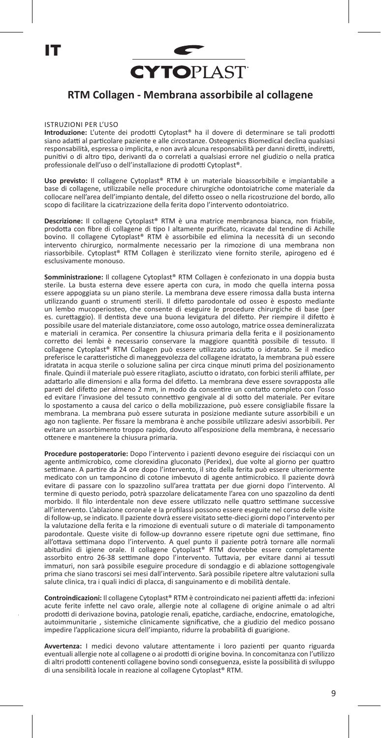

## **RTM Collagen - Membrana assorbibile al collagene**

#### ISTRUZIONI PER L'USO

**Introduzione:** L'utente dei prodotti Cytoplast® ha il dovere di determinare se tali prodotti siano adatti al particolare paziente e alle circostanze. Osteogenics Biomedical declina qualsiasi responsabilità, espressa o implicita, e non avrà alcuna responsabilità per danni diretti, indiretti, punitivi o di altro tipo, derivanti da o correlati a qualsiasi errore nel giudizio o nella pratica professionale dell'uso o dell'installazione di prodotti Cytoplast®.

**Uso previsto:** Il collagene Cytoplast® RTM è un materiale bioassorbibile e impiantabile a base di collagene, utilizzabile nelle procedure chirurgiche odontoiatriche come materiale da collocare nell'area dell'impianto dentale, del difetto osseo o nella ricostruzione del bordo, allo scopo di facilitare la cicatrizzazione della ferita dopo l'intervento odontoiatrico.

**Descrizione:** Il collagene Cytoplast® RTM è una matrice membranosa bianca, non friabile, prodotta con fibre di collagene di tipo I altamente purificato, ricavate dal tendine di Achille bovino. Il collagene Cytoplast® RTM è assorbibile ed elimina la necessità di un secondo intervento chirurgico, normalmente necessario per la rimozione di una membrana non riassorbibile. Cytoplast® RTM Collagen è sterilizzato viene fornito sterile, apirogeno ed é esclusivamente monouso.

**Somministrazione:** Il collagene Cytoplast® RTM Collagen è confezionato in una doppia busta sterile. La busta esterna deve essere aperta con cura, in modo che quella interna possa essere appoggiata su un piano sterile. La membrana deve essere rimossa dalla busta interna utilizzando guanti o strumenti sterili. Il difetto parodontale od osseo è esposto mediante un lembo mucoperiosteo, che consente di eseguire le procedure chirurgiche di base (per es. curettaggio). Il dentista deve una buona levigatura del difetto. Per riempire il difetto è possibile usare del materiale distanziatore, come osso autologo, matrice ossea demineralizzata e materiali in ceramica. Per consentire la chiusura primaria della ferita e il posizionamento corretto dei lembi è necessario conservare la maggiore quantità possibile di tessuto. Il collagene Cytoplast® RTM Collagen può essere utilizzato asciutto o idratato. Se il medico preferisce le caratteristiche di maneggevolezza del collagene idratato, la membrana può essere idratata in acqua sterile o soluzione salina per circa cinque minuti prima del posizionamento finale. Quindi il materiale può essere ritagliato, asciutto o idratato, con forbici sterili affilate, per adattarlo alle dimensioni e alla forma del difetto. La membrana deve essere sovrapposta alle pareti del difetto per almeno 2 mm, in modo da consentire un contatto completo con l'osso ed evitare l'invasione del tessuto connettivo gengivale al di sotto del materiale. Per evitare lo spostamento a causa del carico o della mobilizzazione, può essere consigliabile fissare la membrana. La membrana può essere suturata in posizione mediante suture assorbibili e un ago non tagliente. Per fissare la membrana è anche possibile utilizzare adesivi assorbibili. Per evitare un assorbimento troppo rapido, dovuto all'esposizione della membrana, è necessario ottenere e mantenere la chiusura primaria.

**Procedure postoperatorie:** Dopo l'intervento i pazienti devono eseguire dei risciacqui con un agente antimicrobico, come clorexidina gluconato (Peridex), due volte al giorno per quattro settimane. A partire da 24 ore dopo l'intervento, il sito della ferita può essere ulteriormente medicato con un tamponcino di cotone imbevuto di agente antimicrobico. Il paziente dovrà evitare di passare con lo spazzolino sull'area trattata per due giorni dopo l'intervento. Al termine di questo periodo, potrà spazzolare delicatamente l'area con uno spazzolino da denti morbido. Il filo interdentale non deve essere utilizzato nelle quattro settimane successive all'intervento. L'ablazione coronale e la profilassi possono essere eseguite nel corso delle visite di follow-up, se indicato. Il paziente dovrà essere visitato sette-dieci giorni dopo l'intervento per la valutazione della ferita e la rimozione di eventuali suture o di materiale di tamponamento parodontale. Queste visite di follow-up dovranno essere ripetute ogni due settimane, fino all'ottava settimana dopo l'intervento. A quel punto il paziente potrà tornare alle normali abitudini di igiene orale. Il collagene Cytoplast® RTM dovrebbe essere completamente assorbito entro 26-38 settimane dopo l'intervento. Tuttavia, per evitare danni ai tessuti immaturi, non sarà possibile eseguire procedure di sondaggio e di ablazione sottogengivale prima che siano trascorsi sei mesi dall'intervento. Sarà possibile ripetere altre valutazioni sulla salute clinica, tra i quali indici di placca, di sanguinamento e di mobilità dentale.

**Controindicazioni:** Il collagene Cytoplast® RTM è controindicato nei pazienti affetti da: infezioni acute ferite infette nel cavo orale, allergie note al collagene di origine animale o ad altri prodotti di derivazione bovina, patologie renali, epatiche, cardiache, endocrine, ematologiche, autoimmunitarie , sistemiche clinicamente significative, che a giudizio del medico possano impedire l'applicazione sicura dell'impianto, ridurre la probabilità di guarigione.

**Avvertenza:** I medici devono valutare attentamente i loro pazienti per quanto riguarda eventuali allergie note al collagene o ai prodotti di origine bovina. In concomitanza con l'utilizzo di altri prodotti contenenti collagene bovino sondi conseguenza, esiste la possibilità di sviluppo di una sensibilità locale in reazione al collagene Cytoplast® RTM.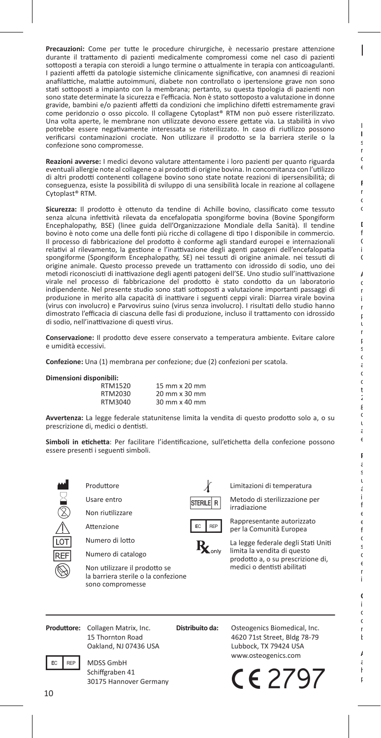**Precauzioni:** Come per tutte le procedure chirurgiche, è necessario prestare attenzione durante il trattamento di pazienti medicalmente compromessi come nel caso di pazienti sottoposti a terapia con steroidi a lungo termine o attualmente in terapia con anticoagulanti. I pazienti affetti da patologie sistemiche clinicamente significative, con anamnesi di reazioni anafilattiche, malattie autoimmuni, diabete non controllato o ipertensione grave non sono stati sottoposti a impianto con la membrana; pertanto, su questa tipologia di pazienti non sono state determinate la sicurezza e l'efficacia. Non è stato sottoposto a valutazione in donne gravide, bambini e/o pazienti affetti da condizioni che implichino difetti estremamente gravi come peridonzio o osso piccolo. Il collagene Cytoplast® RTM non può essere risterilizzato. Una volta aperte, le membrane non utilizzate devono essere gettate via. La stabilità in vivo potrebbe essere negativamente interessata se risterilizzato. In caso di riutilizzo possono verificarsi contaminazioni crociate. Non utilizzare il prodotto se la barriera sterile o la confezione sono compromesse.

**Reazioni avverse:** I medici devono valutare attentamente i loro pazienti per quanto riguarda eventuali allergie note al collagene o ai prodotti di origine bovina. In concomitanza con l'utilizzo di altri prodotti contenenti collagene bovino sono state notate reazioni di ipersensibilità; di conseguenza, esiste la possibilità di sviluppo di una sensibilità locale in reazione al collagene Cytoplast® RTM.

**Sicurezza:** Il prodotto è ottenuto da tendine di Achille bovino, classificato come tessuto senza alcuna infettività rilevata da encefalopatia spongiforme bovina (Bovine Spongiform Encephalopathy, BSE) (linee guida dell'Organizzazione Mondiale della Sanità). Il tendine bovino è noto come una delle fonti più ricche di collagene di tipo I disponibile in commercio. Il processo di fabbricazione del prodotto è conforme agli standard europei e internazionali relativi al rilevamento, la gestione e l'inattivazione degli agenti patogeni dell'encefalopatia spongiforme (Spongiform Encephalopathy, SE) nei tessuti di origine animale. nei tessuti di origine animale. Questo processo prevede un trattamento con idrossido di sodio, uno dei metodi riconosciuti di inattivazione degli agenti patogeni dell'SE. Uno studio sull'inattivazione virale nel processo di fabbricazione del prodotto è stato condotto da un laboratorio indipendente. Nel presente studio sono stati sottoposti a valutazione importanti passaggi di produzione in merito alla capacità di inattivare i seguenti ceppi virali: Diarrea virale bovina (virus con involucro) e Parvovirus suino (virus senza involucro). I risultati dello studio hanno dimostrato l'efficacia di ciascuna delle fasi di produzione, incluso il trattamento con idrossido di sodio, nell'inattivazione di questi virus.

**Conservazione:** Il prodotto deve essere conservato a temperatura ambiente. Evitare calore e umidità eccessivi.

**Confezione:** Una (1) membrana per confezione; due (2) confezioni per scatola.

#### **Dimensioni disponibili:**

| RTM1520 | 15 mm x 20 mm |
|---------|---------------|
| RTM2030 | 20 mm x 30 mm |
| RTM3040 | 30 mm x 40 mm |

**Avvertenza:** La legge federale statunitense limita la vendita di questo prodotto solo a, o su prescrizione di, medici o dentisti.

**Simboli in etichetta**: Per facilitare l'identificazione, sull'etichetta della confezione possono essere presenti i seguenti simboli.



Produttore H Usare entro Non riutilizzare Attenzione

Numero di catalogo<br>Non utilizzare il prodotto se

L Non utilizzare il prodotto se la barriera sterile o la confezione sono compromesse

Limitazioni di temperatura

INSTRUÇÕES DE USO

 $\mathbb{R}^n$ 

cicatrização do pós-operatório oral.

**Introdução:** O utilizador dos produtos Cytoplast® tem o dever de determinar se os produtos são ou não apropriados a um doente e circunstâncias específicas. A Osteogenics Biomedical renuncia qualquer responsabilidade, expressa ou implícita, e não será responsabilizada por  $\mathfrak{c}$  directos,  $\mathfrak{c}$ erros no julgamento profissional ou prática na utilização ou instalação dos produtos Cytoplast®. **Finalidade:** O Cytoplast® RTM Collagen é um material de colagénio implantável e bioreabsorvível destinado à utilização em procedimentos cirúrgicos orais, como material a ser colocado em implantes dentários, defeitos ósseos ou reconstrução da crista, para auxiliar a

**Descrição:** O Cytoplast® RTM Collagen matriz membranosa branca, não-friável, fabricada com fibras de colagénio do tipo I altamente purificadas, derivadas de tendões de Aquiles bovinos.  $\mathbb C$  cytoplast $\mathbb C$ intervenção cirúrgica, normalmente exigida para remoção de membranas não-reabsorvíveis. Cytoplast® RTM Collagen é fornecido estéril, não -pirogénico e destina-se somente a uso único. **Administração:** O Cytoplast® RTM Collagen encontra-se embalado numa bolsa estéril  $\mathfrak c$  and  $\mathfrak c$ num campo estéril. A membrana deve ser removida da bolsa interna apenas com luvas ou instrumentos cirúrgicos esterilizados O defeito periodontal ou ósseo é exposto por um retalho mucoperiosteal e intervenções cirúrgicas básicas são realizadas (por ex., a curetagem). O profissional de saúde deve proceder ao desbridamento exaustivo do defeito. Podem ser utilizados materiais separadores, como osso autólogo, matriz óssea desmineralizada e materiais de cerâmica, para preencher o defeito. Deve-se preservar o máximo de tecido possível para permitir o fechamento primário da ferida e corrigir a posição dos retalhos sem tensão. O Cytoplast® RTM Collagen pode ser colocado tanto seco como hidratado. Se  $\mathbf c$  profissional de  $\mathbf c$  $\tilde{\epsilon}$  membrana pode ser hidratada em solução salina, durante cerca $\epsilon$ de cinco minutos antes da colocação final. Depois, o dispositivo pode ser aparado de acordo com o tamanho e a forma do defeito, tanto na forma seca quanto na forma hidratada, usando tesouras afiadas e estéreis. A membrana deve sobrepor as paredes do defeito em, pelo menos,  $2 - \epsilon$  $\epsilon$  $\mathfrak{c}$  devido à carga ou mobilização. A membrada pode ser fixada pode ser fixada por su utilizando-se para tal suturas absorvíveis e uma agulha romba. Também se pode utilizar agrafos  $\delta$  fixar a membrana. O fecha

evitar uma reabsorção acelerada devido à exposição da membrana.

incluindo índices de placa, sangramento e mobilidade dentária.

possibilidade de ocorrer uma resposta local ao Cytoplast® RTM Collagen.

boa recuperação.

**Procedimentos pós-operatórios:** Os pacientes devem gargarejar com um agente  $\epsilon = \epsilon$ semanas após a cirurgia. Passadas 24 horas da cirurgia, a ferida pode ser também limpa com um cotonete humedecido no agente antimicrobiano. O paciente deve abster-se de escovar a área tratada nos dois primeiros dias após a cirurgia. Após este período, o paciente pode ser instruído a escovar suavemente a área com uma escova de cerdas macias. Não se deve usar fio dental antes de decorridas quatro semanas após a cirurgia. Se indicado, pode ser feita uma  $\epsilon = \epsilon = \epsilon$ fios de sutura ou cimentos periodontais. Estas consultas de seguimento devem ser repetidas de duas em duas semanas e até oito semanas após a cirurgia. O paciente pode retomar a sua higiene oral normal. O Cytoplast® RTM Collagen deve estar completamente reabsorvido  $\mathfrak{c}$  and  $\mathfrak{c}$ . No entanto, não de  $\epsilon$  extensão sub nos tecidos imaturos. Podem ter de se repetir outras avaliações da saúde clínica do paciente,

**Contra-indicações:** O Cytoplast® RTM Collagen é contra indicado para pacientes com: infecções agudas o de origem animal ou a outros produtos de origem bovina. doença clinicamente significativa de natureza renal, hepática, cardíaca, endócrina, hematológica, auto-imune ou sistémica que, no entendimento do profissional de saúde, possa interferir com o implante seguro ou com a

**Aviso:** Os profissionais de saúde devem ter o cuidado de triar os pacientes em relação a alergias ao colagénio ou a produtos de origem bovina. Têm sido verificadas reacções de hipersensibilidade com outros produtos contendo colagénio bovino, pelo que existe a

STERILE R Metodo di sterilizzazione per irradiazione



EC REP Rappresentante autorizzato<br>
per la Comunità Europea La legge federale degli Stati Uniti limita la vendita di questo

prodotto a, o su prescrizione di, medici o dentisti abilitati

**Produttore:** Collagen Matrix, Inc. 15 Thornton Road Oakland, NJ 07436 USA

**Distribuito da:** Osteogenics Biomedical, Inc. 4620 71st Street, Bldg 78-79 Lubbock, TX 79424 USA www.osteogenics.com

C2797



30175 Hannover Germany

10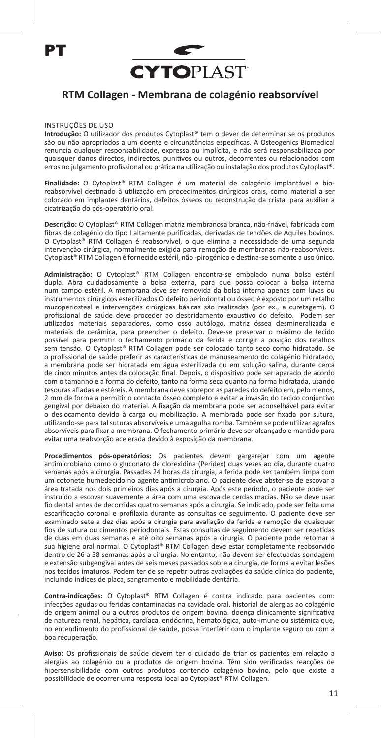

## **RTM Collagen - Membrana de colagénio reabsorvível**

### INSTRUÇÕES DE USO

**Introdução:** O utilizador dos produtos Cytoplast® tem o dever de determinar se os produtos são ou não apropriados a um doente e circunstâncias específicas. A Osteogenics Biomedical renuncia qualquer responsabilidade, expressa ou implícita, e não será responsabilizada por quaisquer danos directos, indirectos, punitivos ou outros, decorrentes ou relacionados com erros no julgamento profissional ou prática na utilização ou instalação dos produtos Cytoplast®.

**Finalidade:** O Cytoplast® RTM Collagen é um material de colagénio implantável e bioreabsorvível destinado à utilização em procedimentos cirúrgicos orais, como material a ser colocado em implantes dentários, defeitos ósseos ou reconstrução da crista, para auxiliar a cicatrização do pós-operatório oral.

**Descrição:** O Cytoplast® RTM Collagen matriz membranosa branca, não-friável, fabricada com fibras de colagénio do tipo I altamente purificadas, derivadas de tendões de Aquiles bovinos. O Cytoplast® RTM Collagen é reabsorvível, o que elimina a necessidade de uma segunda intervenção cirúrgica, normalmente exigida para remoção de membranas não-reabsorvíveis. Cytoplast® RTM Collagen é fornecido estéril, não -pirogénico e destina-se somente a uso único.

**Administração:** O Cytoplast® RTM Collagen encontra-se embalado numa bolsa estéril dupla. Abra cuidadosamente a bolsa externa, para que possa colocar a bolsa interna num campo estéril. A membrana deve ser removida da bolsa interna apenas com luvas ou instrumentos cirúrgicos esterilizados O defeito periodontal ou ósseo é exposto por um retalho mucoperiosteal e intervenções cirúrgicas básicas são realizadas (por ex., a curetagem). O profissional de saúde deve proceder ao desbridamento exaustivo do defeito. Podem ser utilizados materiais separadores, como osso autólogo, matriz óssea desmineralizada e materiais de cerâmica, para preencher o defeito. Deve-se preservar o máximo de tecido possível para permitir o fechamento primário da ferida e corrigir a posição dos retalhos sem tensão. O Cytoplast® RTM Collagen pode ser colocado tanto seco como hidratado. Se o profissional de saúde preferir as características de manuseamento do colagénio hidratado, a membrana pode ser hidratada em água esterilizada ou em solução salina, durante cerca de cinco minutos antes da colocação final. Depois, o dispositivo pode ser aparado de acordo com o tamanho e a forma do defeito, tanto na forma seca quanto na forma hidratada, usando tesouras afiadas e estéreis. A membrana deve sobrepor as paredes do defeito em, pelo menos, 2 mm de forma a permitir o contacto ósseo completo e evitar a invasão do tecido conjuntivo gengival por debaixo do material. A fixação da membrana pode ser aconselhável para evitar o deslocamento devido à carga ou mobilização. A membrada pode ser fixada por sutura, utilizando-se para tal suturas absorvíveis e uma agulha romba. Também se pode utilizar agrafos absorvíveis para fixar a membrana. O fechamento primário deve ser alcançado e mantido para evitar uma reabsorção acelerada devido à exposição da membrana.

**Procedimentos pós-operatórios:** Os pacientes devem gargarejar com um agente antimicrobiano como o gluconato de clorexidina (Peridex) duas vezes ao dia, durante quatro semanas após a cirurgia. Passadas 24 horas da cirurgia, a ferida pode ser também limpa com um cotonete humedecido no agente antimicrobiano. O paciente deve abster-se de escovar a área tratada nos dois primeiros dias após a cirurgia. Após este período, o paciente pode ser instruído a escovar suavemente a área com uma escova de cerdas macias. Não se deve usar fio dental antes de decorridas quatro semanas após a cirurgia. Se indicado, pode ser feita uma escarificação coronal e profilaxia durante as consultas de seguimento. O paciente deve ser examinado sete a dez dias após a cirurgia para avaliação da ferida e remoção de quaisquer fios de sutura ou cimentos periodontais. Estas consultas de seguimento devem ser repetidas de duas em duas semanas e até oito semanas após a cirurgia. O paciente pode retomar a sua higiene oral normal. O Cytoplast® RTM Collagen deve estar completamente reabsorvido dentro de 26 a 38 semanas após a cirurgia. No entanto, não devem ser efectuadas sondagem e extensão subgengival antes de seis meses passados sobre a cirurgia, de forma a evitar lesões nos tecidos imaturos. Podem ter de se repetir outras avaliações da saúde clínica do paciente, incluindo índices de placa, sangramento e mobilidade dentária.

**Contra-indicações:** O Cytoplast® RTM Collagen é contra indicado para pacientes com: infecções agudas ou feridas contaminadas na cavidade oral. historial de alergias ao colagénio de origem animal ou a outros produtos de origem bovina. doença clinicamente significativa de natureza renal, hepática, cardíaca, endócrina, hematológica, auto-imune ou sistémica que, no entendimento do profissional de saúde, possa interferir com o implante seguro ou com a boa recuperação.

**Aviso:** Os profissionais de saúde devem ter o cuidado de triar os pacientes em relação a alergias ao colagénio ou a produtos de origem bovina. Têm sido verificadas reacções de hipersensibilidade com outros produtos contendo colagénio bovino, pelo que existe a possibilidade de ocorrer uma resposta local ao Cytoplast® RTM Collagen.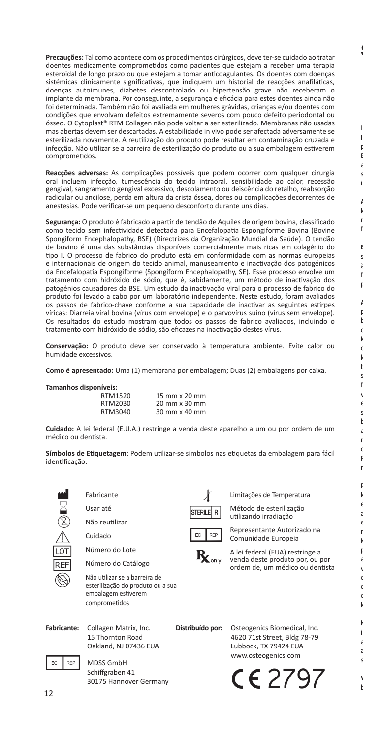**Precauções:** Tal como acontece com os procedimentos cirúrgicos, deve ter-se cuidado ao tratar doentes medicamente comprometidos como pacientes que estejam a receber uma terapia esteroidal de longo prazo ou que estejam a tomar anticoagulantes. Os doentes com doenças sistémicas clinicamente significativas, que indiquem um historial de reacções anafiláticas, doenças autoimunes, diabetes descontrolado ou hipertensão grave não receberam o implante da membrana. Por conseguinte, a segurança e eficácia para estes doentes ainda não foi determinada. Também não foi avaliada em mulheres grávidas, crianças e/ou doentes com condições que envolvam defeitos extremamente severos com pouco defeito periodontal ou ósseo. O Cytoplast® RTM Collagen não pode voltar a ser esterilizado. Membranas não usadas mas abertas devem ser descartadas. A estabilidade in vivo pode ser afectada adversamente se esterilizada novamente. A reutilização do produto pode resultar em contaminação cruzada e infecção. Não utilizar se a barreira de esterilização do produto ou a sua embalagem estiverem comprometidos.

**Reacções adversas:** As complicações possíveis que podem ocorrer com qualquer cirurgia oral incluem infecção, tumescência do tecido intraoral, sensibilidade ao calor, recessão gengival, sangramento gengival excessivo, descolamento ou deiscência do retalho, reabsorção radicular ou ancilose, perda em altura da crista óssea, dores ou complicações decorrentes de anestesias. Pode verificar-se um pequeno desconforto durante uns dias.

**Segurança:** O produto é fabricado a partir de tendão de Aquiles de origem bovina, classificado como tecido sem infectividade detectada para Encefalopatia Espongiforme Bovina (Bovine Spongiform Encephalopathy, BSE) (Directrizes da Organização Mundial da Saúde). O tendão de bovino é uma das substâncias disponíveis comercialmente mais ricas em colagénio do tipo I. O processo de fabrico do produto está em conformidade com as normas europeias e internacionais de origem do tecido animal, manuseamento e inactivação dos patogénicos da Encefalopatia Espongiforme (Spongiform Encephalopathy, SE). Esse processo envolve um tratamento com hidróxido de sódio, que é, sabidamente, um método de inactivação dos patogénios causadores da BSE. Um estudo da inactivação viral para o processo de fabrico do produto foi levado a cabo por um laboratório independente. Neste estudo, foram avaliados os passos de fabrico-chave conforme a sua capacidade de inactivar as seguintes estirpes víricas: Diarreia viral bovina (vírus com envelope) e o parvovírus suíno (vírus sem envelope). Os resultados do estudo mostram que todos os passos de fabrico avaliados, incluindo o tratamento com hidróxido de sódio, são eficazes na inactivação destes vírus.

**Conservação:** O produto deve ser conservado à temperatura ambiente. Evite calor ou humidade excessivos.

**Como é apresentado:** Uma (1) membrana por embalagem; Duas (2) embalagens por caixa.

## **Tamanhos disponíveis:**

| RTM1520 | 15 mm x 20 mm |
|---------|---------------|
| RTM2030 | 20 mm x 30 mm |
| RTM3040 | 30 mm x 40 mm |

**Cuidado:** A lei federal (E.U.A.) restringe a venda deste aparelho a um ou por ordem de um médico ou dentista.

**Símbolos de Etiquetagem**: Podem utilizar-se símbolos nas etiquetas da embalagem para fácil identificação.



**Fabricante** H Usar até

Não reutilizar Cuidado

Número do Lote

Número do Catálogo<br>Não utilizar se a barreira de L Não utilizar se a barreira de esterilização do produto ou a sua embalagem estiverem comprometidos

Limitações de Temperatura



STERILE R Método de esterilização utilizando irradiação



Comunidade Europeia



A lei federal (EUA) restringe a<br>venda deste produto por, ou por ordem de, um médico ou dentista INSTRUKTIONERNA FÖR ANVÄNDA

SV

installation av Cytoplast®-produkter.

för att underlätta sårläkning efter dentalkirurgi.

pyrogenfri och avsedd för endast engångsbruk.

membranexponering.

**Inledning:** Användaren av Cytoplast®-produkter ansvarar för att bestämma om en specifik produkt är lämplig för en specifik patient och specifika omständigheter. Osteogenics Biomedical friskriver sig från allt ansvar, vare sig uttalat eller underförstått, och har inget  $\delta$  indirekta, straffrån eller andra skador, som uppstår från eller andra skader, som uppstår från eller andra skader, som uppstår från eller andra skader, som uppstår från eller andra skader, som uppstår från eller i st samband med några fel som beror på professionell bedömning eller praxis vid användning eller

**Avsedd användning:** Cytoplast® RTM-kollagen är ett bioresorberbart, implanterbart kollagenmaterial som är avsett för användning vid dentalkirurgiska förfaranden som ett material för placering i området för dentalimplantat, bendefekt eller utskottsrekonstruktion,

**Beskrivning:** Cytoplast® RTM-kollagen är en vit, oöm membranmatris som tillverkats av starkt renade kollagenfibrer av typ 1, härledda från bovin hälsena. Cytoplast® RTM kollagen är resorberbart, vilket eliminerar behovet av en andra kirurgisk procedur, som normalt krävs för att avlägsna ett icke resorberbart membran. Cytoplast® RTM Collagen levereras steril,

**Administrering:** Cytoplast® RTM kollagen är förpackat i en dubbel steril påse. Den yttre påsen bör öppnas försiktigt, så att den inre påsen kan placeras i ett sterilt fält. Membranet bör avlägsnas från den inre påsen med sterila handskar eller instrument. Den parodontala defekten eller bendefekten exponeras med en mukoperiostal lambå och grundläggande kirurgiska förfaranden utförs (t.ex. kyrettage). Klinikern bör utföra noggrann debridering av defekten. Utrymmesanpassat material såsom autologt ben, avmineraliserad benmatris och keramiska material kan användas för att fylla defekten. Så mycket vävnad som möjligt bör bevaras för att medge primär tillslutning av såret och korrekt positionering av lambåerna utan spänning. Cytoplast® RTM kollagen kan placeras antingen torrt eller hydrerat. Om klinikern föredrar hanteringsegenskaperna hos hydrerat kollagen, kan membranet hydreras i sterilt vatten eller saltlösning i ca fem minuter före slutlig placering. Anordningen kan sedan klippas enligt defektens storlek och form i torrt eller vått tillstånd, med användning av en vass, steril sax. Membranet bör överlappa defektens väggar med minst 2 mm, för att medge fullständig benkontakt och för att förhindra gingivalt bindvävnadsangrepp nedanför materialet. Fixering  $\epsilon$  membranet kan e mobilisering. Membranet kan sutureras på plats med användning av absorberbara suturer och styckskärande nål. Resorberbara klammers kan även användas för att fästa membranet. Primär tillslutning måste uppnås och bibehållas för att undvika accelererad resorption p.g.a.

**Postoperativa procedurer:** Patienterna bör skölja med ett antimikrobiellt medel såsom klorhexidinglukonat (Peridex) två gånger dagligen i fyra veckor efter operation. 24 timmar  $\epsilon$  operations antimikrobiella medlet. Patienten bör inte borsta det behandlade området förrän två dagar  $\epsilon$  operation. Efter den med en mjuk tandborste. Tandtråd bör inte användas förrän fyra veckor efter operation. Kronskalning och profylax kan vid behov utföras vid uppföljningsbesök. Patienten bör komma på uppföljningsbesök sju till tio dagar efter operation, för utvärdering av såret och avlägsnande  $\epsilon$  eventuella su varannan vecka därefter, upp till åtta veckor efter operation. Patienten kan återgå till normal  $\mathfrak{c}$  RTM kollagen bö operation. Probning och subgingival scaling bör emellertid inte utföras före sex månader efter operation för att förhindra skada på outvecklade vävnader. Andra utvärderingar av klinisk hälsa

**Kontraindikationer:** Cytoplast® RTM kollagen kontraindiceras hos patienter som har: akuta infektioner eller kon andra bovinhärledda produkter kliniskt signifikant njur-, lever-, hjärt-, endokrin, hematologisk,  $\epsilon$  systemisk sjukdom, som enligt läkarens bedömning kommer att förhindra bedömning kommer att förhindra  $\epsilon$ 

**Varning:** Kliniker bör noggrant undersöka sina patienter för kända allergier mot kollagen eller bovinhärledda produkter. Överkänslighetsreaktioner har observerats vid användning av andra

kan upprepas, inklusive plack, blödning och tecken på tandmobilitet.

säker implantation eller sannolik läkning.



**Fabricante:** Collagen Matrix, Inc. 15 Thornton Road Oakland, NJ 07436 EUA

**Distribuído por:** Osteogenics Biomedical, Inc. 4620 71st Street, Bldg 78-79 Lubbock, TX 79424 EUA www.osteogenics.com



EC REP MDSS GmbH<br>Schiffgraben 41 30175 Hannover Germany

C2797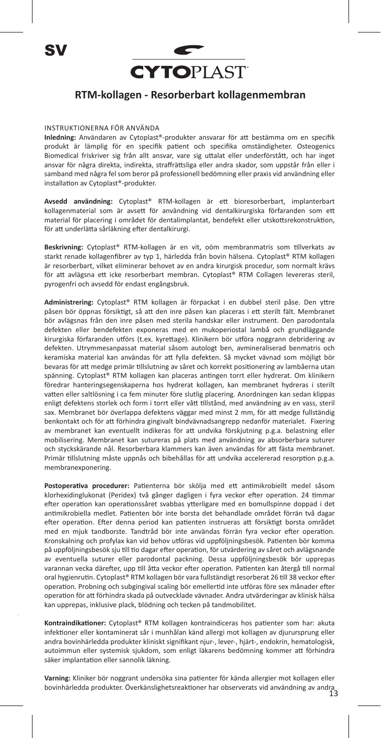

## **RTM-kollagen - Resorberbart kollagenmembran**

### INSTRUKTIONERNA FÖR ANVÄNDA

**Inledning:** Användaren av Cytoplast®-produkter ansvarar för att bestämma om en specifik produkt är lämplig för en specifik patient och specifika omständigheter. Osteogenics Biomedical friskriver sig från allt ansvar, vare sig uttalat eller underförstått, och har inget ansvar för några direkta, indirekta, straffrättsliga eller andra skador, som uppstår från eller i samband med några fel som beror på professionell bedömning eller praxis vid användning eller installation av Cytoplast®-produkter.

**Avsedd användning:** Cytoplast® RTM-kollagen är ett bioresorberbart, implanterbart kollagenmaterial som är avsett för användning vid dentalkirurgiska förfaranden som ett material för placering i området för dentalimplantat, bendefekt eller utskottsrekonstruktion, för att underlätta sårläkning efter dentalkirurgi.

**Beskrivning:** Cytoplast® RTM-kollagen är en vit, oöm membranmatris som tillverkats av starkt renade kollagenfibrer av typ 1, härledda från bovin hälsena. Cytoplast® RTM kollagen är resorberbart, vilket eliminerar behovet av en andra kirurgisk procedur, som normalt krävs för att avlägsna ett icke resorberbart membran. Cytoplast® RTM Collagen levereras steril, pyrogenfri och avsedd för endast engångsbruk.

**Administrering:** Cytoplast® RTM kollagen är förpackat i en dubbel steril påse. Den yttre påsen bör öppnas försiktigt, så att den inre påsen kan placeras i ett sterilt fält. Membranet bör avlägsnas från den inre påsen med sterila handskar eller instrument. Den parodontala defekten eller bendefekten exponeras med en mukoperiostal lambå och grundläggande kirurgiska förfaranden utförs (t.ex. kyrettage). Klinikern bör utföra noggrann debridering av defekten. Utrymmesanpassat material såsom autologt ben, avmineraliserad benmatris och keramiska material kan användas för att fylla defekten. Så mycket vävnad som möjligt bör bevaras för att medge primär tillslutning av såret och korrekt positionering av lambåerna utan spänning. Cytoplast® RTM kollagen kan placeras antingen torrt eller hydrerat. Om klinikern föredrar hanteringsegenskaperna hos hydrerat kollagen, kan membranet hydreras i sterilt vatten eller saltlösning i ca fem minuter före slutlig placering. Anordningen kan sedan klippas enligt defektens storlek och form i torrt eller vått tillstånd, med användning av en vass, steril sax. Membranet bör överlappa defektens väggar med minst 2 mm, för att medge fullständig benkontakt och för att förhindra gingivalt bindvävnadsangrepp nedanför materialet. Fixering av membranet kan eventuellt indikeras för att undvika förskjutning p.g.a. belastning eller mobilisering. Membranet kan sutureras på plats med användning av absorberbara suturer och styckskärande nål. Resorberbara klammers kan även användas för att fästa membranet. Primär tillslutning måste uppnås och bibehållas för att undvika accelererad resorption p.g.a. membranexponering.

**Postoperativa procedurer:** Patienterna bör skölja med ett antimikrobiellt medel såsom klorhexidinglukonat (Peridex) två gånger dagligen i fyra veckor efter operation. 24 timmar efter operation kan operationssåret svabbas ytterligare med en bomullspinne doppad i det antimikrobiella medlet. Patienten bör inte borsta det behandlade området förrän två dagar efter operation. Efter denna period kan patienten instrueras att försiktigt borsta området med en mjuk tandborste. Tandtråd bör inte användas förrän fyra veckor efter operation. Kronskalning och profylax kan vid behov utföras vid uppföljningsbesök. Patienten bör komma på uppföljningsbesök sju till tio dagar efter operation, för utvärdering av såret och avlägsnande av eventuella suturer eller parodontal packning. Dessa uppföljningsbesök bör upprepas varannan vecka därefter, upp till åtta veckor efter operation. Patienten kan återgå till normal oral hygienrutin. Cytoplast® RTM kollagen bör vara fullständigt resorberat 26 till 38 veckor efter operation. Probning och subgingival scaling bör emellertid inte utföras före sex månader efter operation för att förhindra skada på outvecklade vävnader. Andra utvärderingar av klinisk hälsa kan upprepas, inklusive plack, blödning och tecken på tandmobilitet.

**Kontraindikationer:** Cytoplast® RTM kollagen kontraindiceras hos patienter som har: akuta infektioner eller kontaminerat sår i munhålan känd allergi mot kollagen av djurursprung eller andra bovinhärledda produkter kliniskt signifikant njur-, lever-, hjärt-, endokrin, hematologisk, autoimmun eller systemisk sjukdom, som enligt läkarens bedömning kommer att förhindra säker implantation eller sannolik läkning.

13 bovinhärledda produkter. Överkänslighetsreaktioner har observerats vid användning av andra **Varning:** Kliniker bör noggrant undersöka sina patienter för kända allergier mot kollagen eller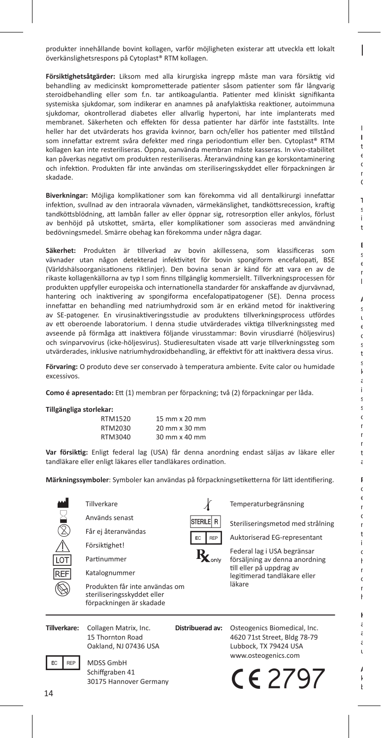produkter innehållande bovint kollagen, varför möjligheten existerar att utveckla ett lokalt överkänslighetsrespons på Cytoplast® RTM kollagen.

**Försiktighetsåtgärder:** Liksom med alla kirurgiska ingrepp måste man vara försiktig vid behandling av medicinskt komprometterade patienter såsom patienter som får långvarig steroidbehandling eller som f.n. tar antikoagulantia. Patienter med kliniskt signifikanta systemiska sjukdomar, som indikerar en anamnes på anafylaktiska reaktioner, autoimmuna sjukdomar, okontrollerad diabetes eller allvarlig hypertoni, har inte implanterats med membranet. Säkerheten och effekten för dessa patienter har därför inte fastställts. Inte heller har det utvärderats hos gravida kvinnor, barn och/eller hos patienter med tillstånd som innefattar extremt svåra defekter med ringa periodontium eller ben. Cytoplast® RTM kollagen kan inte resteriliseras. Öppna, oanvända membran måste kasseras. In vivo-stabilitet kan påverkas negativt om produkten resteriliseras. Återanvändning kan ge korskontaminering och infektion. Produkten får inte användas om steriliseringsskyddet eller förpackningen är skadade.

**Biverkningar:** Möjliga komplikationer som kan förekomma vid all dentalkirurgi innefattar infektion, svullnad av den intraorala vävnaden, värmekänslighet, tandköttsrecession, kraftig tandköttsblödning, att lambån faller av eller öppnar sig, rotresorption eller ankylos, förlust av benhöjd på utskottet, smärta, eller komplikationer som associeras med användning bedövningsmedel. Smärre obehag kan förekomma under några dagar.

**Säkerhet:** Produkten är tillverkad av bovin akillessena, som klassificeras som vävnader utan någon detekterad infektivitet för bovin spongiform encefalopati, BSE (Världshälsoorganisationens riktlinjer). Den bovina senan är känd för att vara en av de rikaste kollagenkällorna av typ I som finns tillgänglig kommersiellt. Tillverkningsprocessen för produkten uppfyller europeiska och internationella standarder för anskaffande av djurvävnad, hantering och inaktivering av spongiforma encefalopatipatogener (SE). Denna process innefattar en behandling med natriumhydroxid som är en erkänd metod för inaktivering av SE-patogener. En virusinaktiveringsstudie av produktens tillverkningsprocess utfördes av ett oberoende laboratorium. I denna studie utvärderades viktiga tillverkningssteg med avseende på förmåga att inaktivera följande virusstammar: Bovin virusdiarré (höljesvirus) och svinparvovirus (icke-höljesvirus). Studieresultaten visade att varje tillverkningssteg som utvärderades, inklusive natriumhydroxidbehandling, är effektivt för att inaktivera dessa virus.

**Förvaring:** O produto deve ser conservado à temperatura ambiente. Evite calor ou humidade excessivos.

**Como é apresentado:** Ett (1) membran per förpackning; två (2) förpackningar per låda.

#### **Tillgängliga storlekar:**

Tillverkare

Får ei återanvändas Försiktighet!

Katalognummer L Produkten får inte användas om steriliseringsskyddet eller förpackningen är skadade

| RTM1520 | 15 mm x 20 mm |
|---------|---------------|
| RTM2030 | 20 mm x 30 mm |
| RTM3040 | 30 mm x 40 mm |

**Var försiktig:** Enligt federal lag (USA) får denna anordning endast säljas av läkare eller tandläkare eller enligt läkares eller tandläkares ordination.

**Märkningssymboler**: Symboler kan användas på förpackningsetiketterna för lätt identifiering.



| STERILE R |            |
|-----------|------------|
| EC        |            |
| ж         | .<br>⊾only |

**Temperaturbegränsning** 

INSTRUKS NEMLIG HJÆLP

DA

Cytoplast®s produkter.

leveres sterilt, ikke-pyrogent, og kun til brug én gang.

 $\epsilon$  blot

usandsynliggøre heling.

tandoperation.

**Introduktion:** Brugeren af Cytoplast®s produkter har pligt til at fastslå, om et produkt er egnet til den særlige patient og de særlige omstændigheder. Osteogenics Biomedical frasiger sig alt erstatningsansvar, udtrykkeligt eller underforstået, og skal ikke have noget ansvar for nogen direkte, indirekte, pønalt begrundede eller andre erstatninger, der opstår fra eller i forbindelse  $\mathbf{r}$  inden for professionel d $\mathbf{r}$ 

**Tilsigtet brug:** Cytoplast® RTM kollagen er et bioresorberbart implanterbart kollagenmateriale, som er beregnet til brug ved tandoperationer, og som kan placeres i området med det dentale implantat, en knogledefekt eller en kantrekonstruktion til hjælp med knogleheling efter

**Beskrivelse:** Cytoplast® RTM kollagen er en hvid, ikke-vulnerabel membranmatrice udviklet fra specielt rensede type I kollagenfibre udvundet af okseakillessener. Cytoplast® RTM kollagen er resorberbart, hvilket gør det unødvendigt med yderligere en kirurgisk procedure, som det normalt er påkrævet for at fjerne en ikke-resorberbar membran. Cytoplast® RTM Collagen

**Anvendelse:** Cytoplast® RTM kollagen leveres pakket i en dobbelt steril pose. Den ydre pose skal åbnes forsigtigt, hvorefter den indre pose kan placeres i det sterile felt. Membranen skal udtages fra den indre pose med sterile handsker eller instrumenter. Den parodontale defekt  $\epsilon$  knogledefekt blo curettage). Lægen skal foretage en grundig debridering af defekten. Pladsskabende materiale såsom autolog knogle, demineraliseret knoglematrice og keramiske materialer kan anvendes til at fylde defekten. Man skal bibeholde så meget væv som muligt for at muliggøre lukning af såret og korrekt placering af klapperne, uden at der er spænding. Cytoplast® RTM kollagen kan placeres enten tørt eller hydreret. Hvis lægen foretrækker håndteringskarakteristikaerne  $\epsilon$  hydreres i ster i ca. 5 minutter før den endelige placering. Derefter kan materialet tilklippes til den rette størrelse og form iht. defekten, i tør eller våd tilstand, med en skarp, steril saks. Membranen skal overlappe defektens vægge med mindst 2 mm for at tillade fuldstændig knoglekontakt  $\mathfrak{c}$  at invadere området under materialet. Fiksering af membranen kan være indiceret for at undgå at den flytter sig på grund af belastning eller mobilisering. Membranen kan sutureres på plads vha. absorberbar sutur og en ikke-skærende nål. Resorberbare hæfteklammer kan også anvendes til at fiksere membranen. Primær tillukning skal være opnået og vedligeholdes for at undgå fremskyndet resorption som følge

**Postoperative procedurer:** Patienter skal skylle med et antimikrobisk middel som f.eks. chlorhexidingluconat (Peridex) to gange dagligt i 4 uger efter operationen. Fra og med et døgn  $\epsilon$  operation middel. Patienten må ikke børste det behandlede område i to dage efter operationen. Efter denne venteperiode, kan det tillades patienten at børste det behandlede område varsomt med en blød tandbørste. Tandtråd må ikke bruges før fire uger efter operationen. Frontal tandrensning og forebyggende behandling kan udføres ved opfølgningsbesøg, hvis det er indiceret. Et patientbesøg skal arrangeres 7-10 dage efter operationen for evaluering af såret og fjernelse af lukningssuturer eller parodental pakning. Disse opfølgningsbesøg skal gentages hver anden uge derefter indtil 8 uger efter operationen. Patienten kan genoptage normal mundhygiejne. Cytoplast® RTM kollagen bør være fuldstændigt resorberet 26-38 uger efter operationen. Imidlertid må sondering og tandrensning nedenfor gingiva ikke udføres før 6 måneder efter operationen for at undgå beskadigelse af sart væv. Andre vurderinger af klinisk helbred kan gentages, deriblandt plaque, blødning og indikatorer for tandbevægelighed. **Kontraindikationer:** Cytoplast® RTM kollagen er kontraindiceret hos patienter, som har: akutte infektioner eller kontamineret sår i mundhulen kendt allergi til kollagen fra dyr eller andre oksederivativprodukter klinisk signifikant nyre-, lever-, hjerte-, endokrin, hæmatologisk,  $\epsilon$  systemisk systemisk sy

**Advarsel:** Lægen skal udvise omhu ved screening af sine patienter for alle kendte allergier imod kollagen eller okseafledte produkter. Hypersensitivitetsreaktioner er blever observeret ved brugen af andre produkter, som indeholder oksekollagen. Derfor foreligger der en mulighed



SIEKILE | KI Steriliseringsmetod med strålning<br>EG | REP | Auktoriserad EG-representant

Federal lag i USA begränsar försäljning av denna anordning till eller på uppdrag av legitimerad tandläkare eller läkare

**Tillverkare:** Collagen Matrix, Inc. 15 Thornton Road Oakland, NJ 07436 USA

**Distribuerad av:** Osteogenics Biomedical, Inc. 4620 71st Street, Bldg 78-79 Lubbock, TX 79424 USA www.osteogenics.com

C2797



30175 Hannover Germany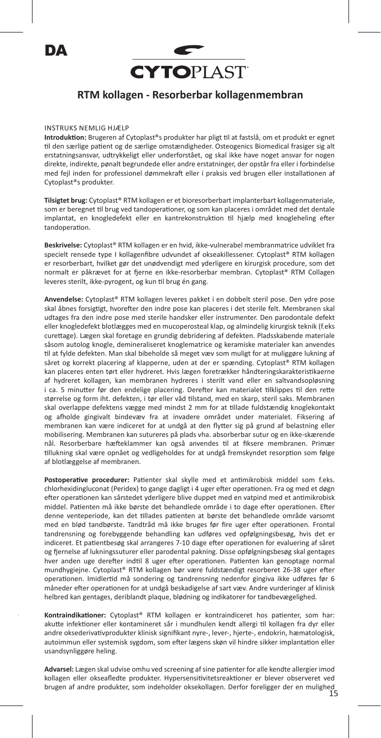

## **RTM kollagen - Resorberbar kollagenmembran**

### INSTRUKS NEMLIG HJÆLP

**Introduktion:** Brugeren af Cytoplast®s produkter har pligt til at fastslå, om et produkt er egnet til den særlige patient og de særlige omstændigheder. Osteogenics Biomedical frasiger sig alt erstatningsansvar, udtrykkeligt eller underforstået, og skal ikke have noget ansvar for nogen direkte, indirekte, pønalt begrundede eller andre erstatninger, der opstår fra eller i forbindelse med fejl inden for professionel dømmekraft eller i praksis ved brugen eller installationen af Cytoplast®s produkter.

**Tilsigtet brug:** Cytoplast® RTM kollagen er et bioresorberbart implanterbart kollagenmateriale, som er beregnet til brug ved tandoperationer, og som kan placeres i området med det dentale implantat, en knogledefekt eller en kantrekonstruktion til hjælp med knogleheling efter tandoperation.

**Beskrivelse:** Cytoplast® RTM kollagen er en hvid, ikke-vulnerabel membranmatrice udviklet fra specielt rensede type I kollagenfibre udvundet af okseakillessener. Cytoplast® RTM kollagen er resorberbart, hvilket gør det unødvendigt med yderligere en kirurgisk procedure, som det normalt er påkrævet for at fjerne en ikke-resorberbar membran. Cytoplast® RTM Collagen leveres sterilt, ikke-pyrogent, og kun til brug én gang.

**Anvendelse:** Cytoplast® RTM kollagen leveres pakket i en dobbelt steril pose. Den ydre pose skal åbnes forsigtigt, hvorefter den indre pose kan placeres i det sterile felt. Membranen skal udtages fra den indre pose med sterile handsker eller instrumenter. Den parodontale defekt eller knogledefekt blotlægges med en mucoperosteal klap, og almindelig kirurgisk teknik (f.eks curettage). Lægen skal foretage en grundig debridering af defekten. Pladsskabende materiale såsom autolog knogle, demineraliseret knoglematrice og keramiske materialer kan anvendes til at fylde defekten. Man skal bibeholde så meget væv som muligt for at muliggøre lukning af såret og korrekt placering af klapperne, uden at der er spænding. Cytoplast® RTM kollagen kan placeres enten tørt eller hydreret. Hvis lægen foretrækker håndteringskarakteristikaerne af hydreret kollagen, kan membranen hydreres i sterilt vand eller en saltvandsopløsning i ca. 5 minutter før den endelige placering. Derefter kan materialet tilklippes til den rette størrelse og form iht. defekten, i tør eller våd tilstand, med en skarp, steril saks. Membranen skal overlappe defektens vægge med mindst 2 mm for at tillade fuldstændig knoglekontakt og afholde gingivalt bindevæv fra at invadere området under materialet. Fiksering af membranen kan være indiceret for at undgå at den flytter sig på grund af belastning eller mobilisering. Membranen kan sutureres på plads vha. absorberbar sutur og en ikke-skærende nål. Resorberbare hæfteklammer kan også anvendes til at fiksere membranen. Primær tillukning skal være opnået og vedligeholdes for at undgå fremskyndet resorption som følge af blotlæggelse af membranen.

**Postoperative procedurer:** Patienter skal skylle med et antimikrobisk middel som f.eks. chlorhexidingluconat (Peridex) to gange dagligt i 4 uger efter operationen. Fra og med et døgn efter operationen kan sårstedet yderligere blive duppet med en vatpind med et antimikrobisk middel. Patienten må ikke børste det behandlede område i to dage efter operationen. Efter denne venteperiode, kan det tillades patienten at børste det behandlede område varsomt med en blød tandbørste. Tandtråd må ikke bruges før fire uger efter operationen. Frontal tandrensning og forebyggende behandling kan udføres ved opfølgningsbesøg, hvis det er indiceret. Et patientbesøg skal arrangeres 7-10 dage efter operationen for evaluering af såret og fjernelse af lukningssuturer eller parodental pakning. Disse opfølgningsbesøg skal gentages hver anden uge derefter indtil 8 uger efter operationen. Patienten kan genoptage normal mundhygiejne. Cytoplast® RTM kollagen bør være fuldstændigt resorberet 26-38 uger efter operationen. Imidlertid må sondering og tandrensning nedenfor gingiva ikke udføres før 6 måneder efter operationen for at undgå beskadigelse af sart væv. Andre vurderinger af klinisk helbred kan gentages, deriblandt plaque, blødning og indikatorer for tandbevægelighed.

**Kontraindikationer:** Cytoplast® RTM kollagen er kontraindiceret hos patienter, som har: akutte infektioner eller kontamineret sår i mundhulen kendt allergi til kollagen fra dyr eller andre oksederivativprodukter klinisk signifikant nyre-, lever-, hjerte-, endokrin, hæmatologisk, autoimmun eller systemisk sygdom, som efter lægens skøn vil hindre sikker implantation eller usandsynliggøre heling.

**Advarsel:** Lægen skal udvise omhu ved screening af sine patienter for alle kendte allergier imod kollagen eller okseafledte produkter. Hypersensitivitetsreaktioner er blever observeret ved brugen af andre produkter, som indeholder oksekollagen. Derfor foreligger der en mulighed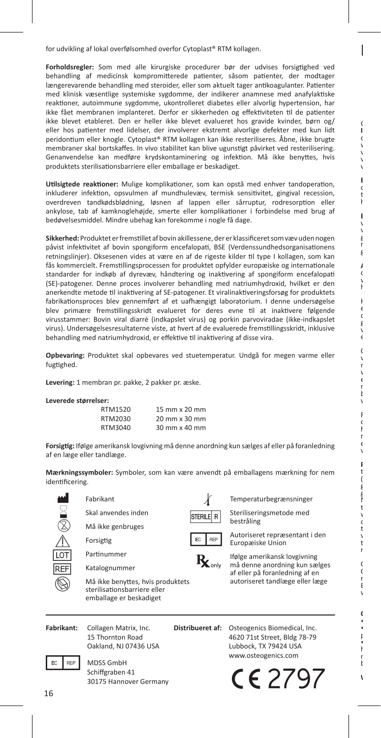for udvikling af lokal overfølsomhed overfor Cytoplast® RTM kollagen.

**Forholdsregler:** Som med alle kirurgiske procedurer bør der udvises forsigtighed ved behandling af medicinsk kompromitterede patienter, såsom patienter, der modtager længerevarende behandling med steroider, eller som aktuelt tager antikoagulanter. Patienter med klinisk væsentlige systemiske sygdomme, der indikerer anamnese med anafylaktiske reaktioner, autoimmune sygdomme, ukontrolleret diabetes eller alvorlig hypertension, har ikke fået membranen implanteret. Derfor er sikkerheden og effektiviteten til de patienter ikke blevet etableret. Den er heller ikke blevet evalueret hos gravide kvinder, børn og/ eller hos patienter med lidelser, der involverer ekstremt alvorlige defekter med kun lidt peridontium eller knogle. Cytoplast® RTM kollagen kan ikke resteriliseres. Åbne, ikke brugte membraner skal bortskaffes. In vivo stabilitet kan blive ugunstigt påvirket ved resterilisering. Genanvendelse kan medføre krydskontaminering og infektion. Må ikke benyttes, hvis produktets sterilisationsbarriere eller emballage er beskadiget.

**Utilsigtede reaktioner:** Mulige komplikationer, som kan opstå med enhver tandoperation, inkluderer infektion, opsvulmen af mundhulevæv, termisk sensitivitet, gingival recession, overdreven tandkødsblødning, løsnen af lappen eller sårruptur, rodresorption eller ankylose, tab af kamknoglehøjde, smerte eller komplikationer i forbindelse med brug af bedøvelsesmiddel. Mindre ubehag kan forekomme i nogle få dage.

**Sikkerhed:** Produktet er fremstillet af bovin akillessene, der er klassificeret som væv uden nogen påvist infektivitet af bovin spongiform encefalopati, BSE (Verdenssundhedsorganisationens retningslinjer). Oksesenen vides at være en af de rigeste kilder til type I kollagen, som kan fås kommercielt. Fremstillingsprocessen for produktet opfylder europæiske og internationale standarder for indkøb af dyrevæv, håndtering og inaktivering af spongiform encefalopati (SE)-patogener. Denne proces involverer behandling med natriumhydroxid, hvilket er den anerkendte metode til inaktivering af SE-patogener. Et viralinaktiveringsforsøg for produktets fabrikationsproces blev gennemført af et uafhængigt laboratorium. I denne undersøgelse blev primære fremstillingsskridt evalueret for deres evne til at inaktivere følgende virusstammer: Bovin viral diarré (indkapslet virus) og porkin parvoviradae (ikke-indkapslet virus). Undersøgelsesresultaterne viste, at hvert af de evaluerede fremstillingsskridt, inklusive behandling med natriumhydroxid, er effektive til inaktivering af disse vira.

**Opbevaring:** Produktet skal opbevares ved stuetemperatur. Undgå for megen varme eller fugtighed.

**Levering:** 1 membran pr. pakke, 2 pakker pr. æske.

**Leverede størrelser:**

| RTM1520 | 15 mm x 20 mm |
|---------|---------------|
| RTM2030 | 20 mm x 30 mm |
| RTM3040 | 30 mm x 40 mm |

**Forsigtig:** Ifølge amerikansk lovgivning må denne anordning kun sælges af eller på foranledning af en læge eller tandlæge.

**Mærkningssymboler:** Symboler, som kan være anvendt på emballagens mærkning for nem identificering.



Skal anvendes inden

Må ikke genbruges Forsigtig

Katalognummer

Må ikke benyttes, hvis produktets sterilisationsbarriere eller emballage er beskadiget

 $\chi$  Temperaturbegrænsninger



STERILE R Steriliseringsmetode med bestråling

GEBRUIKSAANWIJZING

 $\mathbb{R}^n$ 

van Cytoplast®-producten.

**Inleiding:** Gebruikers van Cytoplast®-producten hebben de plicht na te gaan of een product al dan niet geschikt is voor de betreffende patiënt en omstandigheden. Osteogenics Biomedical  $V_{\rm eff}$ ijkheid, af en zal geen verantwoordelijkheid, af en zal geen verantwoordelijkheid dragen verantwoordelijkheid dragen verantwoordelijkheid dragen verantwoordelijkheid dragen verantwoordelijkheid dragen verantwoorde voor directe of indirecte schade, schadevergoeding of andere schade, voortvloeiend uit of verband houdend met beroepsfouten of beroepspraktijken bij het gebruik of het aanbrengen

**Beoogd gebruik**: Cytoplast®-RTM-collageen is een bioresorbeerbaar, implanteerbaar collageenmateriaal dat bedoeld is voor gebruik bij tandchirurgische ingrepen als materiaal om te worden aangebracht bij een tandheelkundig implantaat, botdefect of kamopbouw om te

**Beschrijving:** Cytoplast®-RTM-collageen is een witte, niet-brokkelige membraanmatrix vervaardigd van sterk gezuiverde type-I-collageenvezels verkregen uit de achillespees van runderen. Cytoplast®-RTM-collageen is resorbeerbaar, waardoor de noodzaak wordt geëlimineerd van een tweede chirurgische ingreep , die normaal nodig is om een nietresorbeerbaar membraan te verwijderen. Cytoplast® RTM wordt steriel, niet-pyrogeen

**Aanbrengen:** Cytoplast®-RTM-collageen is verpakt in een dubbele steriele zak. De buitenzak dient voorzichtig te worden geopend, zodanig dat de binnenzak in een steriel veld kan worden geplaatst. Het membraan dient uit de binnenzak te worden verwijderd met steriele

Het periodontale defect of botdefect wordt blootgelegd door een mucoperiosteale flap en  $\epsilon$  worden chirurgische basis debridement van het defect uit te voeren. Er kan ruimte creërend materiaal zoals autoloog bot,  $\epsilon$ vullen. Er dient zoveel mogelijk weefsel behouden te blijven om primaire sluiting van de wond

Cytoplast®-RTM-collageen kan droog of gehydrateerd worden aangebracht. Als de arts de voorkeur geeft aan de hanteringseigenschappen van het gehydrateerde collageen kan het membraan voor het definitieve aanbrengen voor het definitieve aanbrengen voor het definitieve aanbrengen voor<br>Definitieve aanbrengen voor het definitieve aanbrengen voor het definitieve aanbrengen voor het definitieve aa water of fysiologisch zout. Vervolgens kan het hulpmiddel in droge of natte toestand met  $\epsilon = \epsilon$ membraan die botcontact mogelijk te maken en invasie van tandvleesbindweefsel onder het materiaal te

 $F_{\rm{max}}$  $\mathbf{c}$  beweging te voor hechtingen en een niet-snijdende naald. Voor het vastmaken van het membraan kunnen ook resorbeerbare spijkertjes worden gebruikt. Er dient primaire sluiting te worden verkregen  $\epsilon = \epsilon$ 

**Postoperatieve procedures:** Patiënten dienen gedurende vier weken na de operatie tweemaal daags te spoelen met een antimicrobieel middel als chloorhexidinedigluconaat  $\overline{C}$ gedept met een wattenstaafje dat in het antimicrobiële middel is gedoopt. De patiënt mag gedurende twee dagen na de operatie geen tandenborstel gebruiken op de operatieplaats. Na deze periode kunt u de patiënt de instructie geven op de operatieplaats voorzichtig te poetsen met een zachte tandenborstel. Gedurende vier weken na de operatie mag niet worden geflost. Tandsteenverwijdering en profylactische behandeling kunnen plaatsvinden bij controlebezoeken, als dit geïndiceerd is. De patiënt dient zeven tot tien dagen na de operatie te worden gecontroleerd om de wond te evalueren en eventuele hechtdraden of periodontaal vulmateriaal te verwijderen. Deze controlebezoeken dienen vervolgens om de twee weken  $t = \frac{1}{\sqrt{2}}$ 

Cytoplast®-RTM-collageen is normaal 26 tot 38 weken na de operatie volledig geresorbeerd. Om schade aan onvolgroeid weefsel te voorkomen, mag er echter gedurende zes maanden na de operatie geen subgingivale tandsteenverwijdering of curettage worden uitgevoerd. Er kunnen andere bepalingen van de klinische gezondheidstoestand worden uitgevoerd, waaronder indices voor tandsteen, bloedingen en de mobiliteit van tanden en kiezen.

 $\begin{matrix} \cdot \\ \cdot \\ \cdot \end{matrix}$ • klinisch significante nierziekte, leverziekte, hartziekte, endocriene aandoeningen, hematologische aandoeningen, auto-immuunziekten of systemische aandoeningen die naar het oordeel van de arts een veilige implantatie of de waarschijnlijkheid van genezing

**Waarschuwing:** De arts dient voorzichtig te zijn bij het screenen van patiënten op

en correcte plaatsing van de flappen zonder spanning mogelijk te maken.

helpen bij wondgenezing na een tandheelkundige operatie.

 $\epsilon$ 

handschoenen of instrumenten.

voorkomen.

voorkomen.

mondhygiëne hervatten.

belemmeren.



PRAUTORISER PERSENTANT I den Europæiske Union

> Ifølge amerikansk lovgivning må denne anordning kun sælges af eller på foranledning af en autoriseret tandlæge eller læge

**Fabrikant:** Collagen Matrix, Inc. 15 Thornton Road Oakland, NJ 07436 USA

**Distribueret af:** Osteogenics Biomedical, Inc. 4620 71st Street, Bldg 78-79 Lubbock, TX 79424 USA www.osteogenics.com



30175 Hannover Germany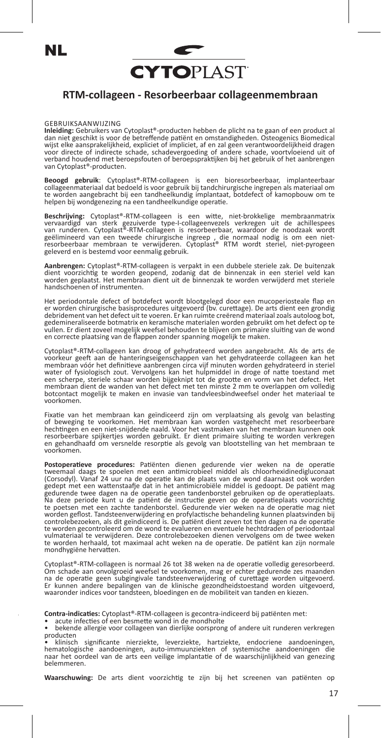

## **RTM-collageen - Resorbeerbaar collageenmembraan**

GEBRUIKSAANWIJZING<br>Inleiding: Gebruikers van Cytoplast®-producten hebben de plicht na te gaan of een product al **Inleiding:** Gebruikers van Cytoplast®-producten hebben de plicht na te gaan of een product al dan niet geschikt is voor de betreffende patiënt en omstandigheden. Osteogenics Biomedical wijst elke aansprakelijkheid, expliciet of impliciet, af en zal geen verantwoordelijkheid dragen<br>voor directe of indirecte schade, schadevergoeding of andere schade, voortvloeiend uit of<br>verband houdend met beroepsfouten o van Cytoplast®-producten.

**Beoogd gebruik**: Cytoplast®-RTM-collageen is een bioresorbeerbaar, implanteerbaar<br>collageenmateriaal dat bedoeld is voor gebruik bij tandchirurgische ingrepen als materiaal om<br>te worden aangebracht bij een tandheelkundig helpen bij wondgenezing na een tandheelkundige operatie.

**Beschrijving:** Cytoplast®-RTM-collageen is een witte, niet-brokkelige membraammatrix<br>vervaardigd van sterk gezuiverde type-I-collageenvezels verkregen uit de achillespees<br>van runderen. Cytoplast®-RTM-collageen is resorbee geleverd en is bestemd voor eenmalig gebruik.

**Aanbrengen:** Cytoplast®-RTM-collageen is verpakt in een dubbele steriele zak. De buitenzak<br>dient voorzichtig te worden geopend, zodanig dat de binnenzak in een steriel veld kan<br>worden geplaatst. Het membraan dient uit de handschoenen of instrumenten.

Het periodontale defect of botdefect wordt blootgelegd door een mucoperiosteale flap en<br>er worden chirurgische basisprocedures uitgevoerd (bv. curettage). De arts dient een grondig<br>debridement van het defect uit te voeren. gedemineraliseerde botmatrix en keramische materialen worden gebruikt om het defect op te vullen. Er dient zoveel mogelijk weefsel behouden te blijven om primaire sluiting van de wond en correcte plaatsing van de flappen zonder spanning mogelijk te maken.

Cytoplast®-RTM-collageen kan droog of gehydrateerd worden aangebracht. Als de arts de voorkeur geeft aan de hanteringseigenschappen van het gehydrateerde collageen kan het membraan vóór het definitieve aanbrengen circa vijf minuten worden gehydrateerd in steriel water of fysiologisch zout. Vervolgens kan het hulpmiddel in droge of natte toestand met een scherpe, steriele schaar worden bijgeknipt tot de grootte en vorm van het defect. Het membraan dient de wanden van het defect met ten minste 2 mm te overlappen om volledig botcontact mogelijk te maken en invasie van tandvleesbindweefsel onder het materiaal te voorkomen.

Fixatie van het membraan kan geïndiceerd zijn om verplaatsing als gevolg van belasting of beweging te voorkomen. Het membraan kan worden vastgehecht met resorbeerbare hechtingen en een niet-snijdende naald. Voor het vastmaken van het membraan kunnen ook resorbeerbare spijkertjes worden gebruikt. Er dient primaire sluiting te worden verkregen en gehandhaafd om versnelde resorptie als gevolg van blootstelling van het membraan te voorkomen.

**Postoperatieve procedures:** Patiënten dienen gedurende vier weken na de operatie tweemaal daags te spoelen met een antimicrobieel middel als chloorhexidinedigluconaat (Corsodyl). Vanaf 24 uur na de operatie kan de plaats van de wond daarnaast ook worden<br>gedept met een wattenstaafje dat in het antimicrobiële middel is gedoopt. De patiënt mag<br>gedurende twee dagen na de operatie geen tande Na deze periode kunt u de patiënt de instructie geven op de operatieplaats voorzichtig te poetsen met een zachte tandenborstel. Gedurende vier weken na de operatie mag niet<br>worden geflost. Tandsteenverwijdering en profylactische behandeling kunnen plaatsvinden bij<br>controlebezoeken, als dit geïndiceerd is. De te worden gecontroleerd om de wond te evalueren en eventuele hechtdraden of periodontaal vulmateriaal te verwijderen. Deze controlebezoeken dienen vervolgens om de twee weken te worden herhaald, tot maximaal acht weken na de operatie. De patiënt kan zijn normale mondhygiëne hervatten.

Cytoplast®-RTM-collageen is normaal 26 tot 38 weken na de operatie volledig geresorbeerd. Om schade aan onvolgroeid weefsel te voorkomen, mag er echter gedurende zes maanden<br>na de operatie geen subgingivale tandsteenverwijdering of curettage worden uitgevoerd.<br>Er kunnen andere bepalingen van de klinische gezond

Contra-indicaties: Cytoplast<sup>®</sup>-RTM-collageen is gecontra-indiceerd bij patiënten met:<br>• acute infecties of een besmette wond in de mondholte<br>• bekende allergie voor collageen van dierlijke oorsprong of andere uit runderen

• klinisch significante nierziekte, leverziekte, hartziekte, endocriene aandoeningen,<br>hematologische aandoeningen, auto-immuunziekten of systemische aandoeningen die<br>naar-het-oordeel-van-de-arts-een-veilige-implantatie-ofbelemmeren.

**Waarschuwing:** De arts dient voorzichtig te zijn bij het screenen van patiënten op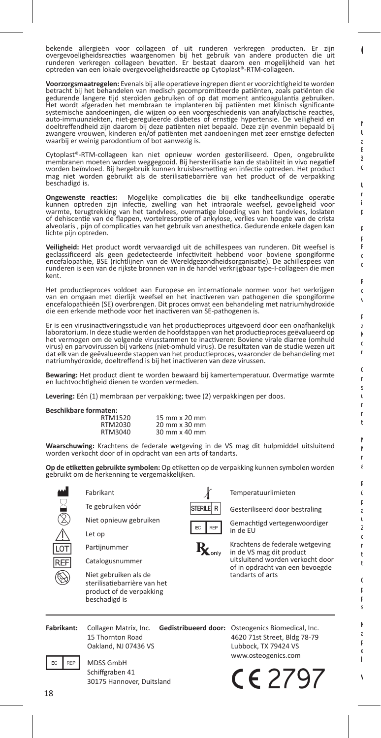bekende allergieën voor collageen of uit runderen verkregen producten. Er zijn overgevoelighei̇̃dsreacties waargenomen bij het gebruik van añdere producten die úit<br>runderen verkregen collageen bevatten. Er bestaat daarom een mogelijkheid van het optreden van een lokale overgevoeligheidsreactie op Cytoplast®-RTM-collageen.

**Voorzorgsmaatregelen:** Evenals bij alle operatieve ingrepen dient er voorzichtigheid te worden betracht bij het behandelen van medisch gecompromitteerde patiënten, zoals patiënten die gedurende langere tijd steroïden gebruiken of op dat moment anticoagulantia gebruiken. Het wordt afgeraden het membraan te implanteren bij patiënten met klinisch significante systemische aandoeningen, die wijzen op een voorgeschiedenis van anafylactische reacties, auto-immuunziekten, niet-gereguleerde diabetes of ernstige hypertensie. De veiligheid en doeltreffendheid zijn daarom bij deze patiënten niet bepaald. Deze zijn evenmin bepaald bij zwangere vrouwen, kinderen en/of patiënten met aandoeningen met zeer ernstige defecten waarbij er weinig parodontium of bot aanwezig is.

NÁVOD K POUŽITÍ

 $\mathbb{C}$ 

po chirurgickém zubním zákroku.

tkáně dásně pod materiál.

dodává sterilní, nepyrogenní a pouze pro jednorázové použití.

vnitřního sáčku vyjměte sterilními rukavicemi nebo nástroji.

týdnů po operaci. Pacient se může vrátit k běžné ústní hygieně.

stavu, včetně plaku, krvácení a pohyblivosti zubu.

**Úvod:** Stanovení vhodnosti nebo nevhodnosti jakéhokoli výrobku pro konkrétního pacienta  $\epsilon$  is positivatele výrobků Cytoplast $\epsilon$ Biomedical odmítá jakoukoli odpovědnost, výslovnou či předpokládanou, a neodpovídá za žádné přímé, sank úsudku nebo praxe (nebo v souvislosti s nimi) při použití nebo aplikaci výrobků Cytoplast®. **Určené použití:** Cytoplast® RTM kolagen je biologicky vstřebatelný implantabilní kolagenový materiál určený pro použití v zubní chirurgii jako materiál pro umístění v oblasti zubního implantátu, kostní

**Popis:** Cytoplast® RTM kolagen je bílá, nedrobivá membránová matrice vyrobená z vysoce purifikovaných kolagenových vláken typu I vyrobených z hovězích Achillových šlach. Cytoplast® RTM kolagen je vstřebatelný, což eliminuje potřebu druhého chirurgického zákroku, který je obvykle vyžadován pro odstranění nevstřebatelné membrány. Cytoplast® RTM kolagen se

**Podání:** Cytoplast® RTM kolagen je balený ve dvojitém sterilním sáčku. Vnější sáček se musí otevírat opatrně tak, aby se vnitřní sáček mohl přemístit do sterilního pole. Membránu z

Parodontální defekt nebo kostní defekt odkryjte mukoperiostálním lalokem a proveďte základní chirurgické zákroky (např. kyretáž). Lékař musí provést důkladný debridement defektu. K vyplnění defektu je možné použít prostor vytvářející materiál, například kostní autoštěp, demineralizovanou kostní matrici a keramické materiály. Je třeba zachovat pokud možno co nejvíce tkáně umožňující primární uzávěr rány a správné umístění laloků bez napětí.  $\mathbb C$  RTM kola $\mathbb C$ manipulační charakteristiky hydratovaného kolagenu, membrána se může hydratovat ve sterilní vodě nebo fyziologickém roztoku po dobu asi pěti minut před jejím konečným umístěním. Poté se prostředek může zastřihnout podle velikosti a tvaru defektu v suchém nebo vlhkém stavu pomocí ostrých sterilních nůžek. Membrána musí překrývat stěny defektu minimálně o 2 mm, aby bylo zabráněn úplný kontakt s kostí a bylo zabráněno invazi pojivové s kostí a bylo zabr<br>Doby

Může být indikována fixace membrány, aby nedošlo k jejímu posunutí při zátěži nebo pohybu. Membránu je možné přišít na místo pomocí vstřebatelní na místo pomocí vstřebatelných stehů a neřezací jeho pom<br>Vydající vstřebatelní pomocí vstřebatelných stehů a neřezací jeho pomocí vstřebatelných stehů a neřezací jeho<br>V membrány se mohou použít i vstřebatelní uzávěr, vstřebatelné svorky. Je třeba vytvořit a udržovat primární uzáv  $\epsilon$  nedocházelo k ur **Postup po operaci:** Po dobu čtyř týdnů po operaci si musí pacienti dvakrát denně vyplachovat ústa antimikrobiální látkou, např. chlorhexidin glukonátem (Peridex). Nejdříve 24 hodin po operaci je možné místo rány přetřít aplikátorem s vatovým chomáčkem namočeným do antimikrobiální látky. Dva dny po operaci si pacient nesmí ošetřenou oblast čistit kartáčkem. Po uplynutí této doby je možné pacienta poučit, aby si oblast opatrně čistil měkkým kartáčkem. Zubní používat čtyři týdny po operaci. Při kontrolních návštěvách je možné provésti týdny po oberaci. Při kontrolních je možné provésti týdny po operaci. Při kontrolních je možné provésti týdny provésti tě možné prov<br>Dobí  $\mathbf c = \mathbf c$ musí dostavit na kontrolu k vyhodnocení rány a odstranění stehů uzávěru nebo parodontálních t ampon

Cytoplast® RTM kolagen by se měl zcela vstřebat do 26 až 38 týdnů po operaci. Aby nedošlo k poškození nezralých tkání, sondování a odstraňování subgingiválního zubního kamene se nesmí provádět dříve než šest měsíců po operaci. Mohou být opakována jiná vyhodnocení klinického

**Varování:** Lékaři musejí postupovat opatrně při vyhodnocování pacienta z hlediska známých

**Kontraindikace:** Cytoplast® RTM kolagen je kontraindikován u pacientů, kteří mají: akutní infekce nebo kontaminovanou ránu v dutině ústní, známou alergii na kolagen zvířecího původu nebo jiné produkty hovězího původu, klinicky významné ledvinové, jaterní, srdeční, endokrinní, hematologické, autoimunitní nebo systémové onemocnění, které by podle úsudku

lékaře zabránilo bezpečné implantaci nebo pravděpodobnému zhojení.

Cytoplast®-RTM-collageen kan niet opnieuw worden gesteriliseerd. Open, ongebruikte membranen moeten worden weggegooid. Bij hersterilisatie kan de stabiliteit in vivo negatief worden beïnvloed. Bij hergebruik kunnen kruisbesmetting en infectie optreden. Het product mag niet worden gebruikt als de sterilisatiebarrière van het product of de verpakking beschadigd is.

**Ongewenste reacties:** Mogelijke complicaties die bij elke tandheelkundige operatie<br>kunnen optreden zijn infectie, zwelling van het intraorale weefsel, gevoeligheid voor<br>warmte, terugtrekking van het tandvlees, overmatige alveolaris , pijn of complicaties van het gebruik van anesthetica. Gedurende enkele dagen kan lichte pijn optreden.

Veiligheid: Het product wordt vervaardigd uit de achillespees van runderen. Dit weefsel is<br>geclassificeerd als geen gedetecteerde infectiviteit hebbend voor boviene spongiforme<br>encefalopathie, BSE (richtlijnen van de Werel runderen is een van de rijkste bronnen van in de handel verkrijgbaar type-I-collageen die men kent.

Het productieproces voldoet aan Europese en internationale normen voor het verkrijgen van en omgaan met dierlijk weefsel en het inactiveren van pathogenen die spongiforme encefalopathieën (SE) overbrengen. Dit proces omvat een behandeling met natriumhydroxide die een erkende methode voor het inactiveren van SE-pathogenen is.

Er is een virusinactiveringsstudie van het productieproces uitgevoerd door een onafhankelijk laboratorium. In deze studie werden de hoofdstappen van het productieproces geëvalueerd op het vermogen om de volgende virusstammen te inactiveren: Boviene virale diarree (omhuld virus) en parvovirussen bij varkens (niet-omhuld virus). De resultaten van de studie wezen uit dat elk van de geëvalueerde stappen van het productieproces, waaronder de behandeling met natriumhydroxide, doeltreffend is bij het inactiveren van deze virussen.

**Bewaring:** Het product dient te worden bewaard bij kamertemperatuur. Overmatige warmte en luchtvochtigheid dienen te worden vermeden.

**Levering:** Eén (1) membraan per verpakking; twee (2) verpakkingen per doos.

| Beschikbare formaten: |  |  |  |  |
|-----------------------|--|--|--|--|
| 15 mm x 20 mm         |  |  |  |  |
| 20 mm x 30 mm         |  |  |  |  |
| 30 mm x 40 mm         |  |  |  |  |
|                       |  |  |  |  |

Waarschuwing: Krachtens de federale wetgeving in de VS mag dit hulpmiddel uitsluitend<br>worden verkocht door of in opdracht van een arts of tandarts.

**Op de etiketten gebruikte symbolen:** Op etiketten op de verpakking kunnen symbolen worden gebruikt om de herkenning te vergemakkelijken.

|     | Fabrikant                                                                                          |                            | Temperatuurlimieten                                                 |  |
|-----|----------------------------------------------------------------------------------------------------|----------------------------|---------------------------------------------------------------------|--|
|     | Te gebruiken vóór                                                                                  | STERILE R                  | Gesteriliseerd door bestraling                                      |  |
| X   | Niet opnieuw gebruiken                                                                             | REP<br>EC                  | Gemachtigd vertegenwoordiger                                        |  |
|     | Let op                                                                                             |                            | in de FU                                                            |  |
| LOT | Partiinummer                                                                                       | $\mathbf{R}_{\text{only}}$ | Krachtens de federale wetgeving<br>in de VS mag dit product         |  |
| REF | Catalogusnummer                                                                                    |                            | uitsluitend worden verkocht door<br>of in opdracht van een bevoegde |  |
|     | Niet gebruiken als de<br>sterilisatiebarrière van het<br>product of de verpakking<br>beschadigd is |                            | tandarts of arts                                                    |  |

Fabrikant: Collagen Matrix, Inc. Gedistribueerd door: Osteogenics Biomedical, Inc. 15 Thornton Road Oakland, NJ 07436 VS

4620 71st Street, Bldg 78-79 Lubbock, TX 79424 VS www.osteogenics.com

 $C<sub>2797</sub>$ 



30175 Hannover, Duitsland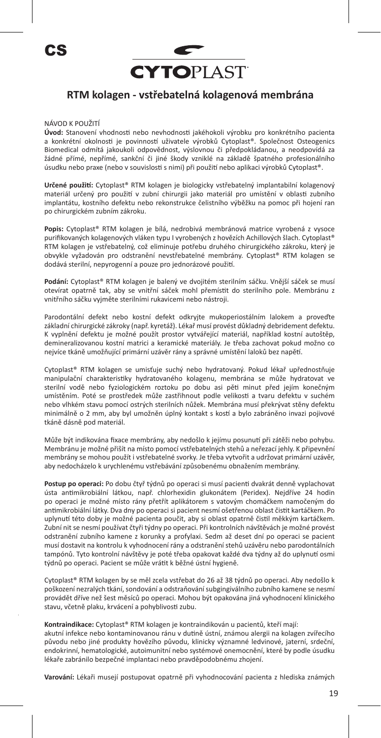

## **RTM kolagen - vstřebatelná kolagenová membrána**

#### NÁVOD K POUŽITÍ

**Úvod:** Stanovení vhodnosti nebo nevhodnosti jakéhokoli výrobku pro konkrétního pacienta a konkrétní okolnosti je povinností uživatele výrobků Cytoplast®. Společnost Osteogenics Biomedical odmítá jakoukoli odpovědnost, výslovnou či předpokládanou, a neodpovídá za žádné přímé, nepřímé, sankční či jiné škody vzniklé na základě špatného profesionálního úsudku nebo praxe (nebo v souvislosti s nimi) při použití nebo aplikaci výrobků Cytoplast®.

**Určené použití:** Cytoplast® RTM kolagen je biologicky vstřebatelný implantabilní kolagenový materiál určený pro použití v zubní chirurgii jako materiál pro umístění v oblasti zubního implantátu, kostního defektu nebo rekonstrukce čelistního výběžku na pomoc při hojení ran po chirurgickém zubním zákroku.

**Popis:** Cytoplast® RTM kolagen je bílá, nedrobivá membránová matrice vyrobená z vysoce purifikovaných kolagenových vláken typu I vyrobených z hovězích Achillových šlach. Cytoplast® RTM kolagen je vstřebatelný, což eliminuje potřebu druhého chirurgického zákroku, který je obvykle vyžadován pro odstranění nevstřebatelné membrány. Cytoplast® RTM kolagen se dodává sterilní, nepyrogenní a pouze pro jednorázové použití.

**Podání:** Cytoplast® RTM kolagen je balený ve dvojitém sterilním sáčku. Vnější sáček se musí otevírat opatrně tak, aby se vnitřní sáček mohl přemístit do sterilního pole. Membránu z vnitřního sáčku vyjměte sterilními rukavicemi nebo nástroji.

Parodontální defekt nebo kostní defekt odkryjte mukoperiostálním lalokem a proveďte základní chirurgické zákroky (např. kyretáž). Lékař musí provést důkladný debridement defektu. K vyplnění defektu je možné použít prostor vytvářející materiál, například kostní autoštěp, demineralizovanou kostní matrici a keramické materiály. Je třeba zachovat pokud možno co nejvíce tkáně umožňující primární uzávěr rány a správné umístění laloků bez napětí.

Cytoplast® RTM kolagen se umisťuje suchý nebo hydratovaný. Pokud lékař upřednostňuje manipulační charakteristiky hydratovaného kolagenu, membrána se může hydratovat ve sterilní vodě nebo fyziologickém roztoku po dobu asi pěti minut před jejím konečným umístěním. Poté se prostředek může zastřihnout podle velikosti a tvaru defektu v suchém nebo vlhkém stavu pomocí ostrých sterilních nůžek. Membrána musí překrývat stěny defektu minimálně o 2 mm, aby byl umožněn úplný kontakt s kostí a bylo zabráněno invazi pojivové tkáně dásně pod materiál.

Může být indikována fixace membrány, aby nedošlo k jejímu posunutí při zátěži nebo pohybu. Membránu je možné přišít na místo pomocí vstřebatelných stehů a neřezací jehly. K připevnění membrány se mohou použít i vstřebatelné svorky. Je třeba vytvořit a udržovat primární uzávěr, aby nedocházelo k urychlenému vstřebávání způsobenému obnažením membrány.

**Postup po operaci:** Po dobu čtyř týdnů po operaci si musí pacienti dvakrát denně vyplachovat ústa antimikrobiální látkou, např. chlorhexidin glukonátem (Peridex). Nejdříve 24 hodin po operaci je možné místo rány přetřít aplikátorem s vatovým chomáčkem namočeným do antimikrobiální látky. Dva dny po operaci si pacient nesmí ošetřenou oblast čistit kartáčkem. Po uplynutí této doby je možné pacienta poučit, aby si oblast opatrně čistil měkkým kartáčkem. Zubní nit se nesmí používat čtyři týdny po operaci. Při kontrolních návštěvách je možné provést odstranění zubního kamene z korunky a profylaxi. Sedm až deset dní po operaci se pacient musí dostavit na kontrolu k vyhodnocení rány a odstranění stehů uzávěru nebo parodontálních tampónů. Tyto kontrolní návštěvy je poté třeba opakovat každé dva týdny až do uplynutí osmi týdnů po operaci. Pacient se může vrátit k běžné ústní hygieně.

Cytoplast® RTM kolagen by se měl zcela vstřebat do 26 až 38 týdnů po operaci. Aby nedošlo k poškození nezralých tkání, sondování a odstraňování subgingiválního zubního kamene se nesmí provádět dříve než šest měsíců po operaci. Mohou být opakována jiná vyhodnocení klinického stavu, včetně plaku, krvácení a pohyblivosti zubu.

**Kontraindikace:** Cytoplast® RTM kolagen je kontraindikován u pacientů, kteří mají:

akutní infekce nebo kontaminovanou ránu v dutině ústní, známou alergii na kolagen zvířecího původu nebo jiné produkty hovězího původu, klinicky významné ledvinové, jaterní, srdeční, endokrinní, hematologické, autoimunitní nebo systémové onemocnění, které by podle úsudku lékaře zabránilo bezpečné implantaci nebo pravděpodobnému zhojení.

**Varování:** Lékaři musejí postupovat opatrně při vyhodnocování pacienta z hlediska známých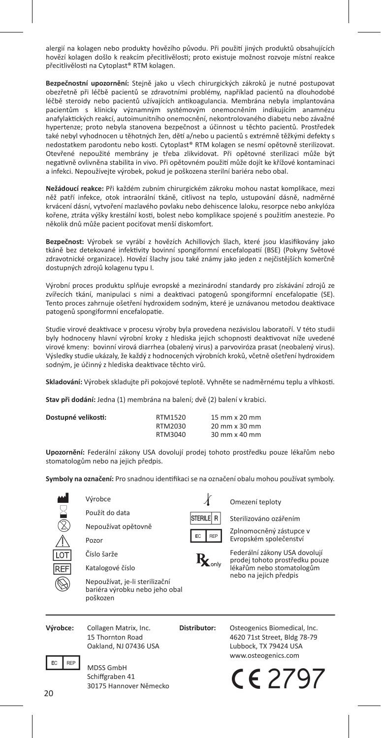alergií na kolagen nebo produkty hovězího původu. Při použití jiných produktů obsahujících hovězí kolagen došlo k reakcím přecitlivělosti; proto existuje možnost rozvoje místní reakce přecitlivělosti na Cytoplast® RTM kolagen.

**Bezpečnostní upozornění:** Stejně jako u všech chirurgických zákroků je nutné postupovat obezřetně při léčbě pacientů se zdravotními problémy, například pacientů na dlouhodobé léčbě steroidy nebo pacientů užívajících antikoagulancia. Membrána nebyla implantována pacientům s klinicky významným systémovým onemocněním indikujícím anamnézu anafylaktických reakcí, autoimunitního onemocnění, nekontrolovaného diabetu nebo závažné hypertenze; proto nebyla stanovena bezpečnost a účinnost u těchto pacientů. Prostředek také nebyl vyhodnocen u těhotných žen, dětí a/nebo u pacientů s extrémně těžkými defekty s nedostatkem parodontu nebo kosti. Cytoplast® RTM kolagen se nesmí opětovně sterilizovat. Otevřené nepoužité membrány je třeba zlikvidovat. Při opětovné sterilizaci může být negativně ovlivněna stabilita in vivo. Při opětovném použití může dojít ke křížové kontaminaci a infekci. Nepoužívejte výrobek, pokud je poškozena sterilní bariéra nebo obal.

**Nežádoucí reakce:** Při každém zubním chirurgickém zákroku mohou nastat komplikace, mezi něž patří infekce, otok intraorální tkáně, citlivost na teplo, ustupování dásně, nadměrné krvácení dásní, vytvoření mazlavého povlaku nebo dehiscence laloku, resorpce nebo ankylóza kořene, ztráta výšky krestální kosti, bolest nebo komplikace spojené s použitím anestezie. Po několik dnů může pacient pociťovat menší diskomfort.

**Bezpečnost:** Výrobek se vyrábí z hovězích Achillových šlach, které jsou klasifikovány jako tkáně bez detekované infektivity bovinní spongiformní encefalopatií (BSE) (Pokyny Světové zdravotnické organizace). Hovězí šlachy jsou také známy jako jeden z nejčistějších komerčně dostupných zdrojů kolagenu typu I.

Výrobní proces produktu splňuje evropské a mezinárodní standardy pro získávání zdrojů ze zvířecích tkání, manipulaci s nimi a deaktivaci patogenů spongiformní encefalopatie (SE). Tento proces zahrnuje ošetření hydroxidem sodným, které je uznávanou metodou deaktivace patogenů spongiformní encefalopatie.

Studie virové deaktivace v procesu výroby byla provedena nezávislou laboratoří. V této studii byly hodnoceny hlavní výrobní kroky z hlediska jejich schopnosti deaktivovat níže uvedené virové kmeny: bovinní virová diarrhea (obalený virus) a parvoviróza prasat (neobalený virus). Výsledky studie ukázaly, že každý z hodnocených výrobních kroků, včetně ošetření hydroxidem sodným, je účinný z hlediska deaktivace těchto virů.

**Skladování:** Výrobek skladujte při pokojové teplotě. Vyhněte se nadměrnému teplu a vlhkosti.

**Stav při dodání:** Jedna (1) membrána na balení; dvě (2) balení v krabici.

| Dostupné velikosti: | RTM1520 | 15 mm x 20 mm |
|---------------------|---------|---------------|
|                     | RTM2030 | 20 mm x 30 mm |
|                     | RTM3040 | 30 mm x 40 mm |

**Upozornění:** Federální zákony USA dovolují prodej tohoto prostředku pouze lékařům nebo stomatologům nebo na jejich předpis.

**Symboly na označení:** Pro snadnou identifikaci se na označení obalu mohou používat symboly.



Výrobce  $\chi$  Omezení teploty Použít do data STERILE R Sterilizováno ozářením<br>**Izmeri** Zplnomocněný zástupce v Nepoužívat opětovně EC REP Zplnomocněný zástupce v Zplnomocněný zástupce v Pozor LOT Číslo šarže<br>REF Katalogové Federální zákony USA dovolují  $\mathbf{R}_{\mathbf{x}_\mathsf{only}}$ prodej tohoto prostředku pouze Katalogové číslo<br>Nepoužívat, je-li sterilizační lékařům nebo stomatologům nebo na jejich předpisNepoužívat, je-li sterilizační<br>bariéra výrobku nebo jeho obal poškozen

**Výrobce:** Collagen Matrix, Inc. 15 Thornton Road Oakland, NJ 07436 USA

**Distributor:** Osteogenics Biomedical, Inc. 4620 71st Street, Bldg 78-79 Lubbock, TX 79424 USA www.osteogenics.com

C2797



Schiffgraben 41 30175 Hannover Německo